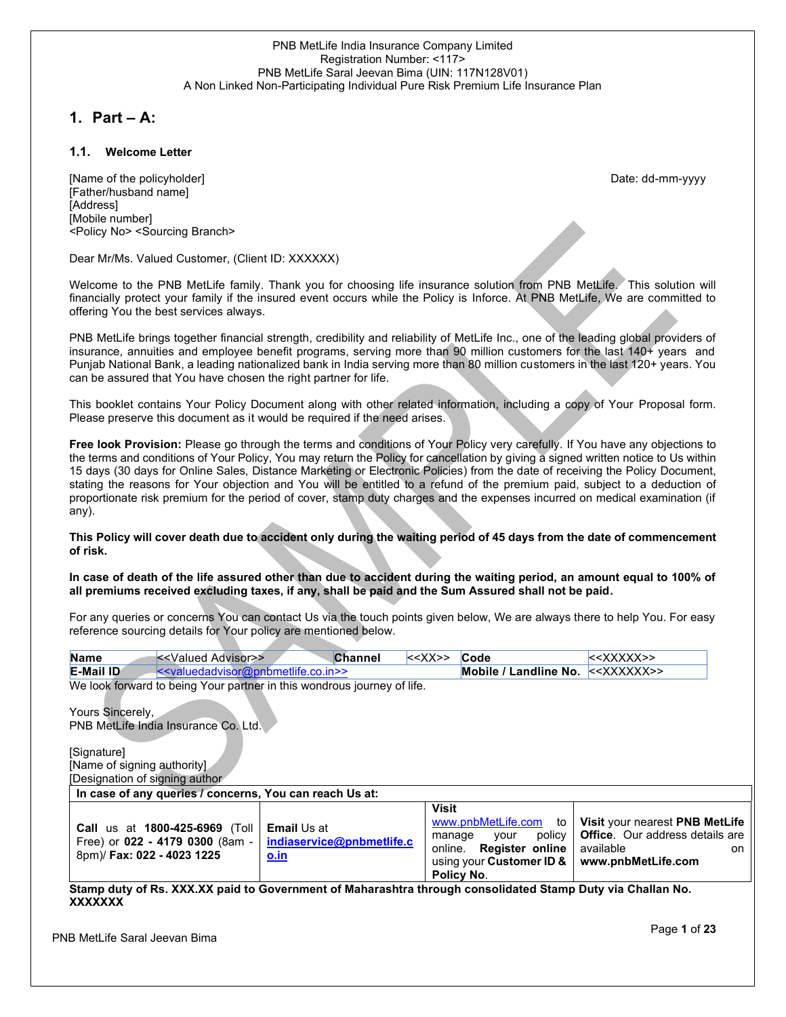## **1. Part – A:**

## **1.1. Welcome Letter**

[Name of the policyholder] example and the policyholder] and the policyholder and the policyholder and the policyholder and the policyholder and the policyholder and the policyholder and the policyholder and the policyhold [Father/husband name] [Address] [Mobile number] <Policy No> <Sourcing Branch>

Dear Mr/Ms. Valued Customer, (Client ID: XXXXXX)

Welcome to the PNB MetLife family. Thank you for choosing life insurance solution from PNB MetLife. This solution will financially protect your family if the insured event occurs while the Policy is Inforce. At PNB MetLife, We are committed to offering You the best services always.

PNB MetLife brings together financial strength, credibility and reliability of MetLife Inc., one of the leading global providers of insurance, annuities and employee benefit programs, serving more than 90 million customers for the last 140+ years and Punjab National Bank, a leading nationalized bank in India serving more than 80 million customers in the last 120+ years. You can be assured that You have chosen the right partner for life.

This booklet contains Your Policy Document along with other related information, including a copy of Your Proposal form. Please preserve this document as it would be required if the need arises.

**Free look Provision:** Please go through the terms and conditions of Your Policy very carefully. If You have any objections to the terms and conditions of Your Policy, You may return the Policy for cancellation by giving a signed written notice to Us within 15 days (30 days for Online Sales, Distance Marketing or Electronic Policies) from the date of receiving the Policy Document, stating the reasons for Your objection and You will be entitled to a refund of the premium paid, subject to a deduction of proportionate risk premium for the period of cover, stamp duty charges and the expenses incurred on medical examination (if any).

## **This Policy will cover death due to accident only during the waiting period of 45 days from the date of commencement of risk.**

## **In case of death of the life assured other than due to accident during the waiting period, an amount equal to 100% of all premiums received excluding taxes, if any, shall be paid and the Sum Assured shall not be paid.**

For any queries or concerns You can contact Us via the touch points given below, We are always there to help You. For easy reference sourcing details for Your policy are mentioned below.

| < <valued advisor="">&gt;<br/><b>Name</b></valued>                                                     | <b>Channel</b>                                          | $\le\le$ XX>>                     | Code                                                                                                                  | $<<$ XXXXX>>                                                                                                      |
|--------------------------------------------------------------------------------------------------------|---------------------------------------------------------|-----------------------------------|-----------------------------------------------------------------------------------------------------------------------|-------------------------------------------------------------------------------------------------------------------|
| E-Mail ID<br>$\le$ valuedadvisor@pnbmetlife.co.in>>                                                    |                                                         |                                   | Mobile / Landline No.                                                                                                 | $<\angle$ XXXXXX>>                                                                                                |
| We look forward to being Your partner in this wondrous journey of life.                                |                                                         |                                   |                                                                                                                       |                                                                                                                   |
| Yours Sincerely,                                                                                       |                                                         |                                   |                                                                                                                       |                                                                                                                   |
| PNB MetLife India Insurance Co. Ltd.                                                                   |                                                         |                                   |                                                                                                                       |                                                                                                                   |
| [Signature]                                                                                            |                                                         |                                   |                                                                                                                       |                                                                                                                   |
| [Name of signing authority]                                                                            |                                                         |                                   |                                                                                                                       |                                                                                                                   |
| Designation of signing author                                                                          |                                                         |                                   |                                                                                                                       |                                                                                                                   |
| In case of any queries / concerns, You can reach Us at:                                                |                                                         |                                   |                                                                                                                       |                                                                                                                   |
| <b>Call us at 1800-425-6969 (Toll</b><br>Free) or 022 - 4179 0300 (8am -<br>8pm)/ Fax: 022 - 4023 1225 | <b>Email Us at</b><br>indiaservice@pnbmetlife.c<br>o.in | <b>Visit</b><br>manage<br>online. | www.pnbMetLife.com<br>to<br>policy<br>your<br><b>Register online</b><br>using your Customer ID &<br><b>Policy No.</b> | Visit your nearest PNB MetLife<br><b>Office.</b> Our address details are<br>available<br>on<br>www.pnbMetLife.com |

**Stamp duty of Rs. XXX.XX paid to Government of Maharashtra through consolidated Stamp Duty via Challan No. XXXXXXX**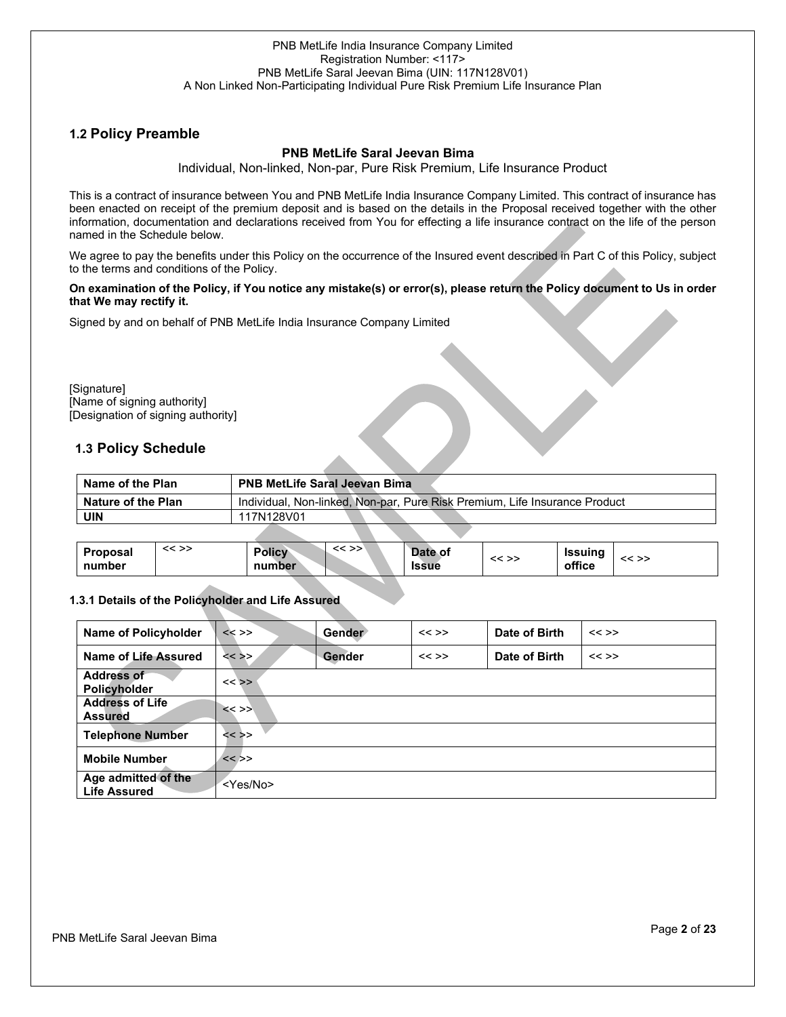## **1.2 Policy Preamble**

## **PNB MetLife Saral Jeevan Bima**

Individual, Non-linked, Non-par, Pure Risk Premium, Life Insurance Product

This is a contract of insurance between You and PNB MetLife India Insurance Company Limited. This contract of insurance has been enacted on receipt of the premium deposit and is based on the details in the Proposal received together with the other information, documentation and declarations received from You for effecting a life insurance contract on the life of the person named in the Schedule below.

We agree to pay the benefits under this Policy on the occurrence of the Insured event described in Part C of this Policy, subject to the terms and conditions of the Policy.

#### **On examination of the Policy, if You notice any mistake(s) or error(s), please return the Policy document to Us in order that We may rectify it.**

Signed by and on behalf of PNB MetLife India Insurance Company Limited

[Signature] [Name of signing authority] [Designation of signing authority]

## **1.3 Policy Schedule**

| Name of the Plan   | <b>PNB MetLife Saral Jeevan Bima</b>                                       |
|--------------------|----------------------------------------------------------------------------|
| Nature of the Plan | Individual, Non-linked, Non-par, Pure Risk Premium, Life Insurance Product |
| UIN                | 117N128V01                                                                 |
|                    |                                                                            |

| Proposal<br>number | $<<$ >> | <b>Policy</b><br>number | $<<$ >> | Date of<br><b>Issue</b> | $<<$ >> | Issuina<br>office | << >> |
|--------------------|---------|-------------------------|---------|-------------------------|---------|-------------------|-------|
|                    |         |                         |         |                         |         |                   |       |

## **1.3.1 Details of the Policyholder and Life Assured**

| Name of Policyholder                       | $<<$ >>           | <b>Gender</b> | $<<$ >> | Date of Birth | $<<$ >> |
|--------------------------------------------|-------------------|---------------|---------|---------------|---------|
| Name of Life Assured                       | $<<$ >>           | <b>Gender</b> | $<<$ >> | Date of Birth | $<<$ >> |
| <b>Address of</b><br>Policyholder          | $<<$ >>           |               |         |               |         |
| <b>Address of Life</b><br><b>Assured</b>   | $<<$ >>           |               |         |               |         |
| <b>Telephone Number</b>                    | $<<$ >>           |               |         |               |         |
| <b>Mobile Number</b>                       | $<<$ >>           |               |         |               |         |
| Age admitted of the<br><b>Life Assured</b> | <yes no=""></yes> |               |         |               |         |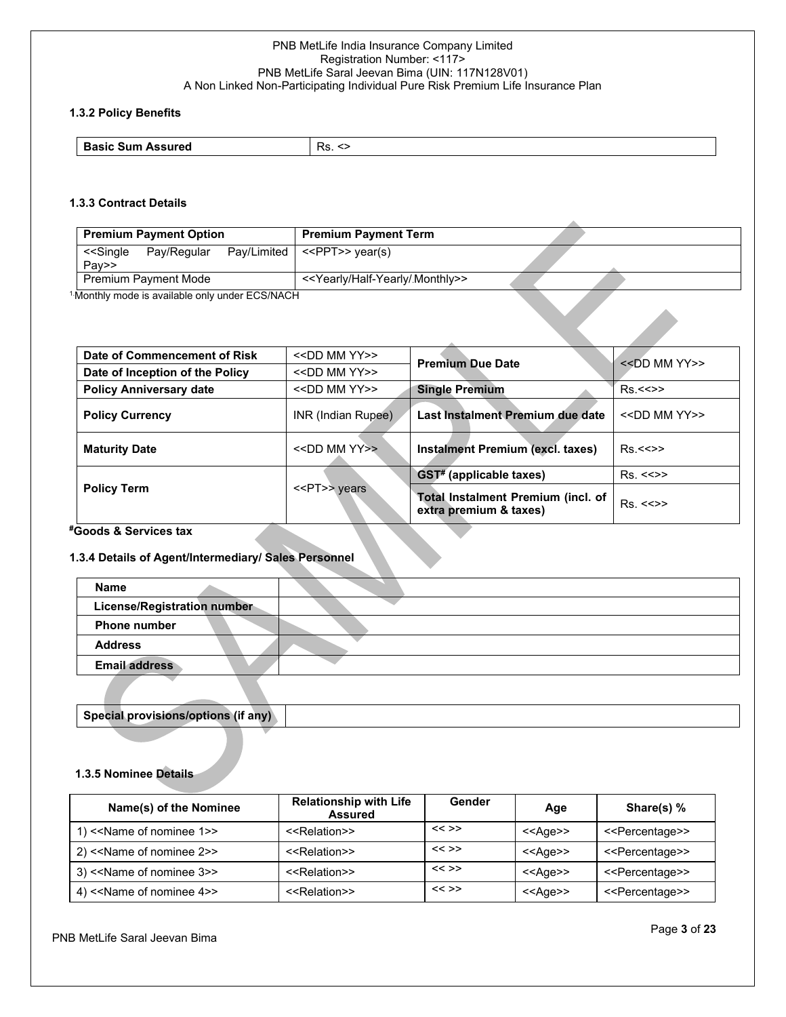## **1.3.2 Policy Benefits**

| <b>Basic Sum Assured</b> | -<br>$\overline{\phantom{a}}$<br>nd.<br>∽ |
|--------------------------|-------------------------------------------|
|                          |                                           |

## **1.3.3 Contract Details**

| <b>Premium Payment Option</b>                                       | <b>Premium Payment Term</b>                       |  |
|---------------------------------------------------------------------|---------------------------------------------------|--|
| Pay/Limited<br>< <single<br>Pay/Regular<br/>Pay&gt;&gt;</single<br> | < <ppt>&gt; year(s)</ppt>                         |  |
| <b>Premium Payment Mode</b>                                         | < <yearly half-yearly="" monthly="">&gt;</yearly> |  |
| <sup>1</sup> Monthly mode is available only under ECS/NACH          |                                                   |  |
| Date of Commoncement of Risk                                        | <b>COLO MM VVSS</b>                               |  |

| Date of Commencement of Risk    | < <dd mm="" yy="">&gt;</dd> | <b>Premium Due Date</b>                                      | $<<$ DD MM YY $>>$      |  |
|---------------------------------|-----------------------------|--------------------------------------------------------------|-------------------------|--|
| Date of Inception of the Policy | < <dd mm="" yy="">&gt;</dd> |                                                              |                         |  |
| <b>Policy Anniversary date</b>  | < <dd mm="" yy="">&gt;</dd> | <b>Single Premium</b>                                        | Rs < >>                 |  |
| <b>Policy Currency</b>          | INR (Indian Rupee)          | Last Instalment Premium due date                             | $<<$ DD MM YY>>         |  |
| <b>Maturity Date</b>            | < <dd mm="" yy="">&gt;</dd> | Instalment Premium (excl. taxes)                             | Rs < >>                 |  |
|                                 |                             | <b>GST#</b> (applicable taxes)                               | $Rs. < \Leftrightarrow$ |  |
| <b>Policy Term</b>              | < <pt>&gt; years</pt>       | Total Instalment Premium (incl. of<br>extra premium & taxes) | Rs. < >>                |  |

## **#Goods & Services tax**

## **1.3.4 Details of Agent/Intermediary/ Sales Personnel**

| <b>Name</b>                        |  |
|------------------------------------|--|
| <b>License/Registration number</b> |  |
| <b>Phone number</b>                |  |
| <b>Address</b>                     |  |
| <b>Email address</b>               |  |
|                                    |  |

# **Special provisions/options (if any)**

## **1.3.5 Nominee Details**

| Name(s) of the Nominee    | <b>Relationship with Life</b><br><b>Assured</b> | Gender  | Age               | Share(s) %                      |
|---------------------------|-------------------------------------------------|---------|-------------------|---------------------------------|
| 1) << Name of nominee 1>> | < <relation>&gt;</relation>                     | $<<$ >> | < <age>&gt;</age> | < <percentage>&gt;</percentage> |
| 2) << Name of nominee 2>> | < <relation>&gt;</relation>                     | $<<$ >> | < <age>&gt;</age> | < <percentage>&gt;</percentage> |
| 3) << Name of nominee 3>> | < <relation>&gt;</relation>                     | $<<$ >> | < <age>&gt;</age> | < <percentage>&gt;</percentage> |
| 4) << Name of nominee 4>> | < <relation>&gt;</relation>                     | $<<$ >> | $<<$ Age $>>$     | < <percentage>&gt;</percentage> |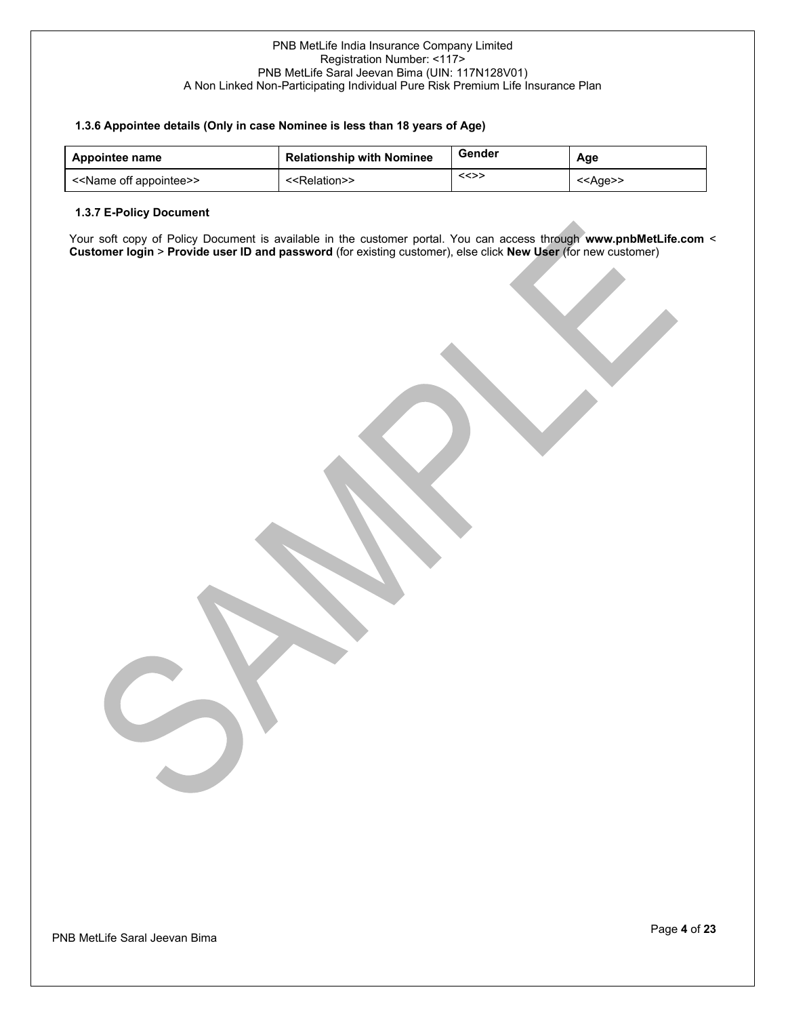## **1.3.6 Appointee details (Only in case Nominee is less than 18 years of Age)**

| Appointee name                          | <b>Relationship with Nominee</b> | Gender | Age               |
|-----------------------------------------|----------------------------------|--------|-------------------|
| < <name appointee="" off="">&gt;</name> | < <relation>&gt;</relation>      | <<>>   | < <ade>&gt;</ade> |

## **1.3.7 E-Policy Document**

Your soft copy of Policy Document is available in the customer portal. You can access through **www.pnbMetLife.com** < **Customer login** > **Provide user ID and password** (for existing customer), else click **New User** (for new customer)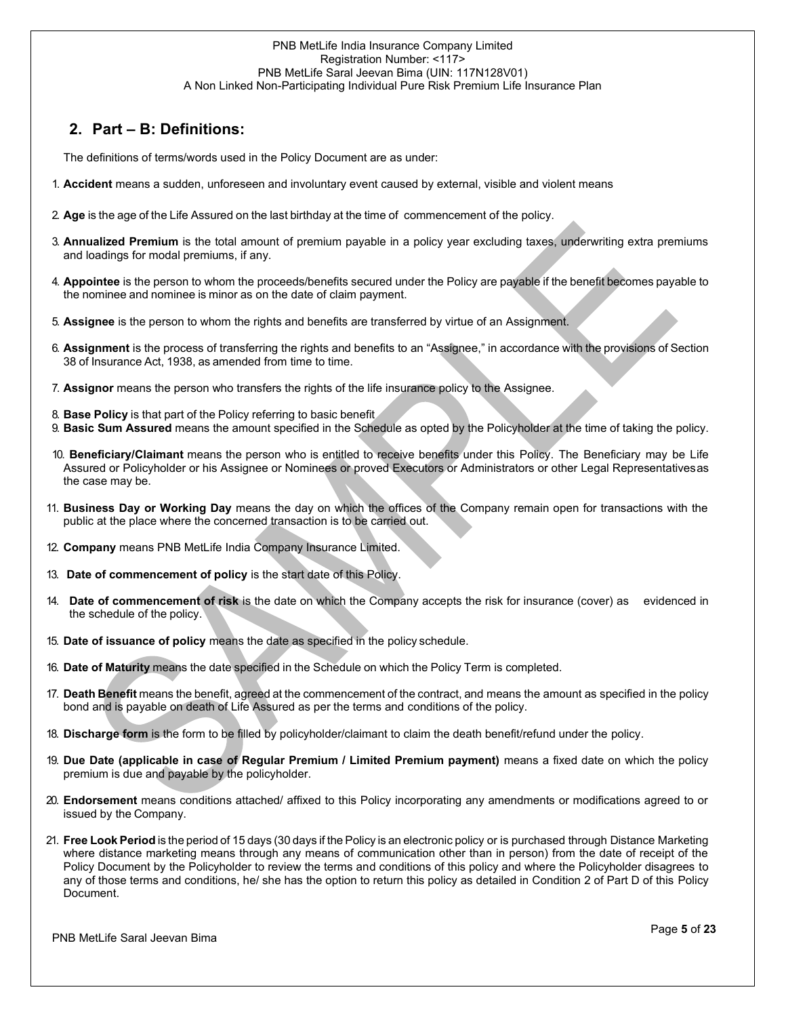## **2. Part – B: Definitions:**

The definitions of terms/words used in the Policy Document are as under:

- 1. **Accident** means a sudden, unforeseen and involuntary event caused by external, visible and violent means
- 2. **Age** is the age of the Life Assured on the last birthday at the time of commencement of the policy.
- 3. **Annualized Premium** is the total amount of premium payable in a policy year excluding taxes, underwriting extra premiums and loadings for modal premiums, if any.
- 4. **Appointee** is the person to whom the proceeds/benefits secured under the Policy are payable if the benefit becomes payable to the nominee and nominee is minor as on the date of claim payment.
- 5. **Assignee** is the person to whom the rights and benefits are transferred by virtue of an Assignment.
- 6. **Assignment** is the process of transferring the rights and benefits to an "Assignee," in accordance with the provisions of Section 38 of Insurance Act, 1938, as amended from time to time.
- 7. **Assignor** means the person who transfers the rights of the life insurance policy to the Assignee.
- 8. **Base Policy** is that part of the Policy referring to basic benefit
- 9. **Basic Sum Assured** means the amount specified in the Schedule as opted by the Policyholder at the time of taking the policy.
- 10. **Beneficiary/Claimant** means the person who is entitled to receive benefits under this Policy. The Beneficiary may be Life Assured or Policyholder or his Assignee or Nominees or proved Executors or Administrators or other Legal Representativesas the case may be.
- 11. **Business Day or Working Day** means the day on which the offices of the Company remain open for transactions with the public at the place where the concerned transaction is to be carried out.
- 12. **Company** means PNB MetLife India Company Insurance Limited.
- 13. **Date of commencement of policy** is the start date of this Policy.
- 14. **Date of commencement of risk** is the date on which the Company accepts the risk for insurance (cover) as evidenced in the schedule of the policy.
- 15. **Date of issuance of policy** means the date as specified in the policy schedule.
- 16. **Date of Maturity** means the date specified in the Schedule on which the Policy Term is completed.
- 17. **Death Benefit** means the benefit, agreed at the commencement of the contract, and means the amount as specified in the policy bond and is payable on death of Life Assured as per the terms and conditions of the policy.
- 18. **Discharge form** is the form to be filled by policyholder/claimant to claim the death benefit/refund under the policy.
- 19. **Due Date (applicable in case of Regular Premium / Limited Premium payment)** means a fixed date on which the policy premium is due and payable by the policyholder.
- 20. **Endorsement** means conditions attached/ affixed to this Policy incorporating any amendments or modifications agreed to or issued by the Company.
- 21. **Free Look Period** is the period of 15 days (30 days if the Policy is an electronic policy or is purchased through Distance Marketing where distance marketing means through any means of communication other than in person) from the date of receipt of the Policy Document by the Policyholder to review the terms and conditions of this policy and where the Policyholder disagrees to any of those terms and conditions, he/ she has the option to return this policy as detailed in Condition 2 of Part D of this Policy Document.

PNB MetLife Saral Jeevan Bima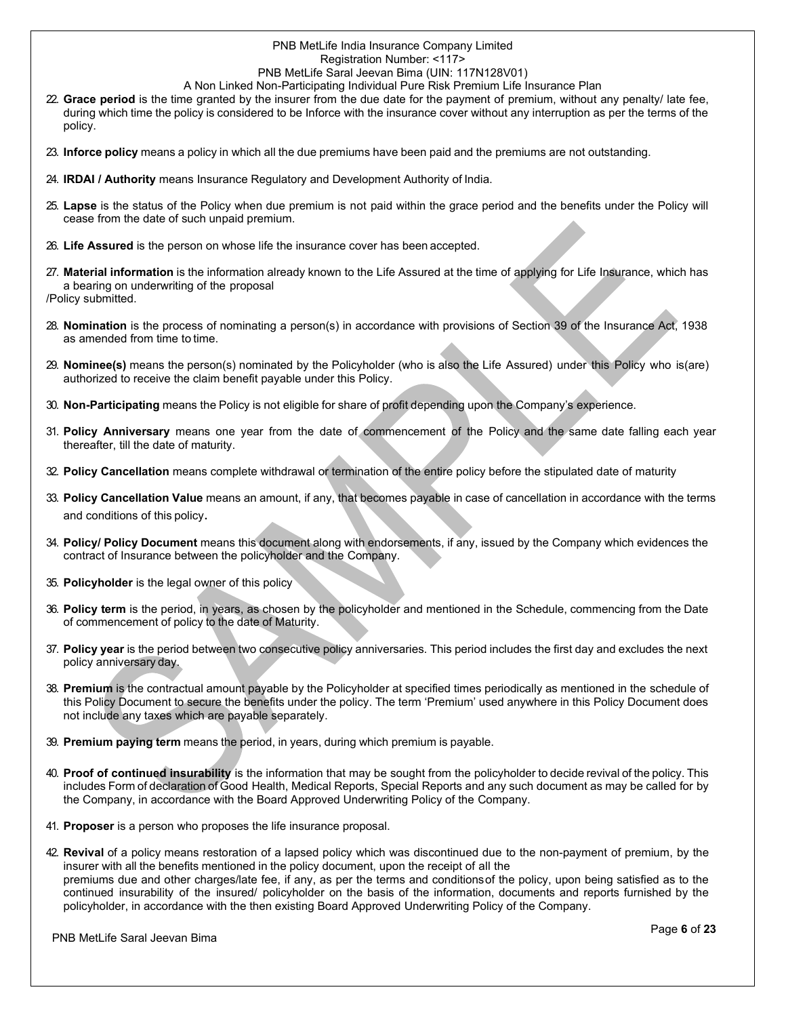## PNB MetLife India Insurance Company Limited Registration Number: <117>

## PNB MetLife Saral Jeevan Bima (UIN: 117N128V01)

- A Non Linked Non-Participating Individual Pure Risk Premium Life Insurance Plan
- 22. **Grace period** is the time granted by the insurer from the due date for the payment of premium, without any penalty/ late fee, during which time the policy is considered to be Inforce with the insurance cover without any interruption as per the terms of the policy.
- 23. **Inforce policy** means a policy in which all the due premiums have been paid and the premiums are not outstanding.
- 24. **IRDAI / Authority** means Insurance Regulatory and Development Authority of India.
- 25. **Lapse** is the status of the Policy when due premium is not paid within the grace period and the benefits under the Policy will cease from the date of such unpaid premium.
- 26. **Life Assured** is the person on whose life the insurance cover has been accepted.
- 27. **Material information** is the information already known to the Life Assured at the time of applying for Life Insurance, which has a bearing on underwriting of the proposal /Policy submitted.
- 28. **Nomination** is the process of nominating a person(s) in accordance with provisions of Section 39 of the Insurance Act, 1938 as amended from time to time.
- 29. **Nominee(s)** means the person(s) nominated by the Policyholder (who is also the Life Assured) under this Policy who is(are) authorized to receive the claim benefit payable under this Policy.
- 30. **Non-Participating** means the Policy is not eligible for share of profit depending upon the Company's experience.
- 31. **Policy Anniversary** means one year from the date of commencement of the Policy and the same date falling each year thereafter, till the date of maturity.
- 32. **Policy Cancellation** means complete withdrawal or termination of the entire policy before the stipulated date of maturity
- 33. **Policy Cancellation Value** means an amount, if any, that becomes payable in case of cancellation in accordance with the terms and conditions of this policy.
- 34. **Policy/ Policy Document** means this document along with endorsements, if any, issued by the Company which evidences the contract of Insurance between the policyholder and the Company.
- 35. **Policyholder** is the legal owner of this policy
- 36. **Policy term** is the period, in years, as chosen by the policyholder and mentioned in the Schedule, commencing from the Date of commencement of policy to the date of Maturity.
- 37. **Policy year** is the period between two consecutive policy anniversaries. This period includes the first day and excludes the next policy anniversary day.
- 38. **Premium** is the contractual amount payable by the Policyholder at specified times periodically as mentioned in the schedule of this Policy Document to secure the benefits under the policy. The term 'Premium' used anywhere in this Policy Document does not include any taxes which are payable separately.
- 39. **Premium paying term** means the period, in years, during which premium is payable.
- 40. **Proof of continued insurability** is the information that may be sought from the policyholder to decide revival of the policy. This includes Form of declaration of Good Health, Medical Reports, Special Reports and any such document as may be called for by the Company, in accordance with the Board Approved Underwriting Policy of the Company.
- 41. **Proposer** is a person who proposes the life insurance proposal.
- 42. **Revival** of a policy means restoration of a lapsed policy which was discontinued due to the non-payment of premium, by the insurer with all the benefits mentioned in the policy document, upon the receipt of all the premiums due and other charges/late fee, if any, as per the terms and conditionsof the policy, upon being satisfied as to the continued insurability of the insured/ policyholder on the basis of the information, documents and reports furnished by the policyholder, in accordance with the then existing Board Approved Underwriting Policy of the Company.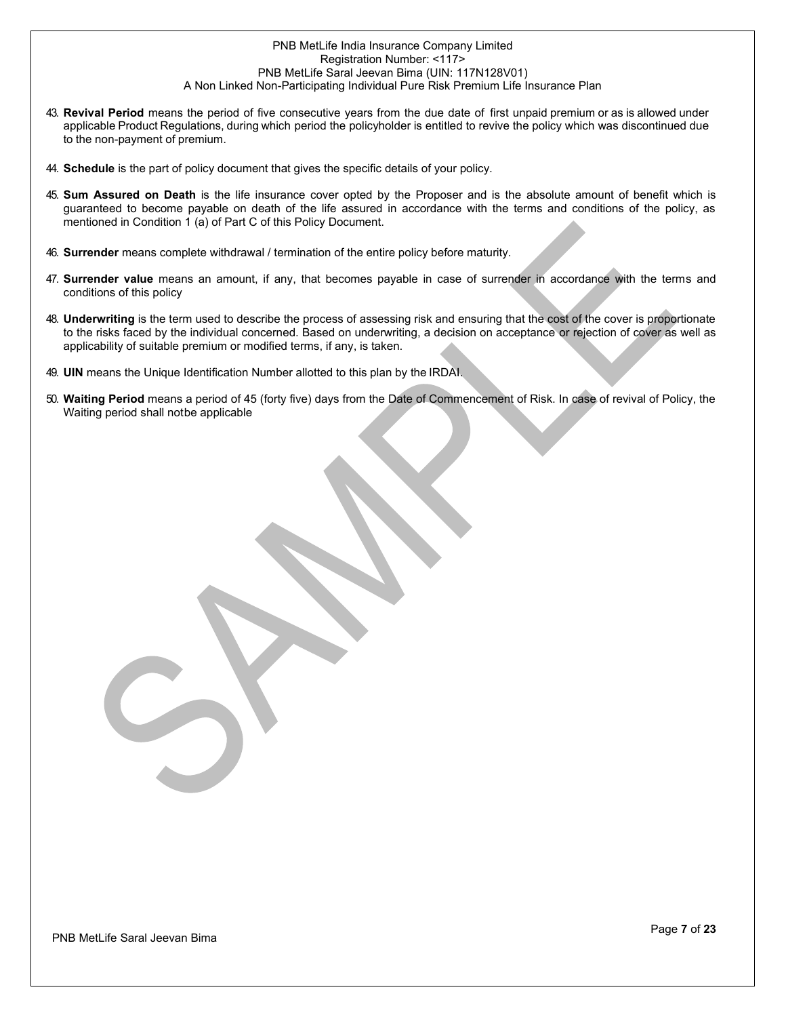- 43. **Revival Period** means the period of five consecutive years from the due date of first unpaid premium or as is allowed under applicable Product Regulations, during which period the policyholder is entitled to revive the policy which was discontinued due to the non-payment of premium.
- 44. **Schedule** is the part of policy document that gives the specific details of your policy.
- 45. **Sum Assured on Death** is the life insurance cover opted by the Proposer and is the absolute amount of benefit which is guaranteed to become payable on death of the life assured in accordance with the terms and conditions of the policy, as mentioned in Condition 1 (a) of Part C of this Policy Document.
- 46. **Surrender** means complete withdrawal / termination of the entire policy before maturity.
- 47. **Surrender value** means an amount, if any, that becomes payable in case of surrender in accordance with the terms and conditions of this policy
- 48. **Underwriting** is the term used to describe the process of assessing risk and ensuring that the cost of the cover is proportionate to the risks faced by the individual concerned. Based on underwriting, a decision on acceptance or rejection of cover as well as applicability of suitable premium or modified terms, if any, is taken.
- 49. **UIN** means the Unique Identification Number allotted to this plan by the IRDAI.
- 50. **Waiting Period** means a period of 45 (forty five) days from the Date of Commencement of Risk. In case of revival of Policy, the Waiting period shall notbe applicable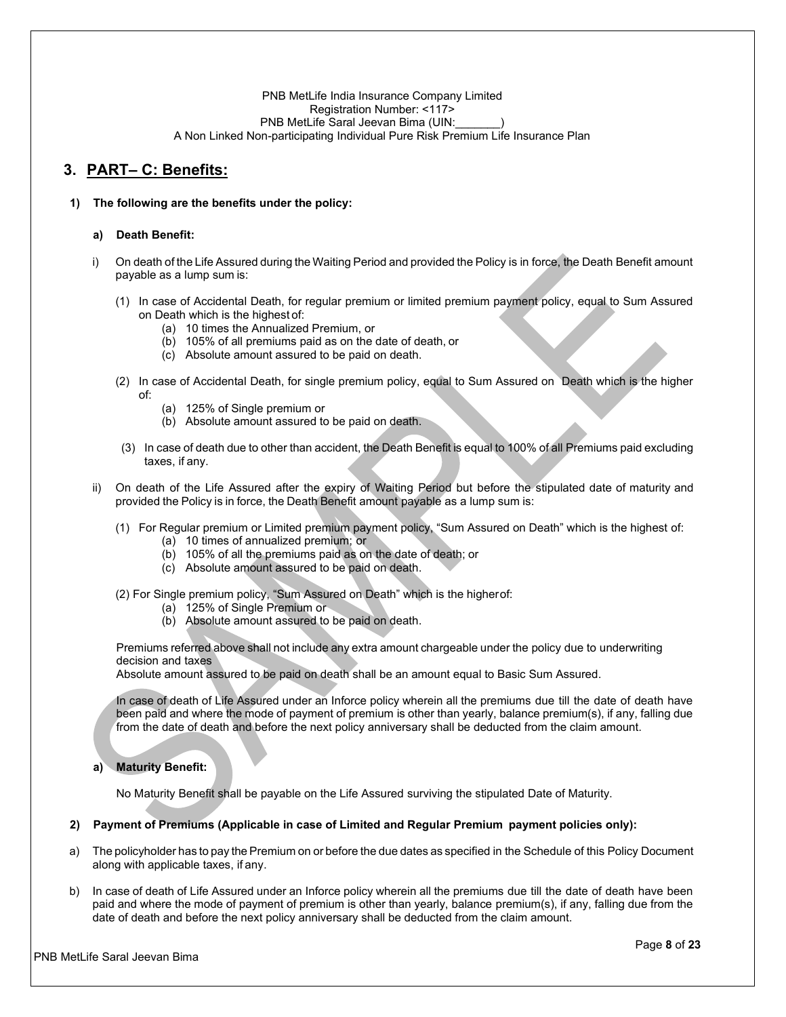## **3. PART– C: Benefits:**

## **1) The following are the benefits under the policy:**

#### **a) Death Benefit:**

- i) On death of the Life Assured during the Waiting Period and provided the Policy is in force, the Death Benefit amount payable as a lump sum is:
	- (1) In case of Accidental Death, for regular premium or limited premium payment policy, equal to Sum Assured on Death which is the highest of:
		- (a) 10 times the Annualized Premium, or
		- (b) 105% of all premiums paid as on the date of death, or
		- (c) Absolute amount assured to be paid on death.
	- (2) In case of Accidental Death, for single premium policy, equal to Sum Assured on Death which is the higher of:
		- (a) 125% of Single premium or
		- (b) Absolute amount assured to be paid on death.
	- (3) In case of death due to other than accident, the Death Benefit is equal to 100% of all Premiums paid excluding taxes, if any.
- ii) On death of the Life Assured after the expiry of Waiting Period but before the stipulated date of maturity and provided the Policy is in force, the Death Benefit amount payable as a lump sum is:
	- (1) For Regular premium or Limited premium payment policy, "Sum Assured on Death" which is the highest of:
		- (a) 10 times of annualized premium; or
		- (b) 105% of all the premiums paid as on the date of death; or
		- (c) Absolute amount assured to be paid on death.
	- (2) For Single premium policy, "Sum Assured on Death" which is the higherof:
		- (a) 125% of Single Premium or
		- (b) Absolute amount assured to be paid on death.

Premiums referred above shall not include any extra amount chargeable under the policy due to underwriting decision and taxes

Absolute amount assured to be paid on death shall be an amount equal to Basic Sum Assured.

In case of death of Life Assured under an Inforce policy wherein all the premiums due till the date of death have been paid and where the mode of payment of premium is other than yearly, balance premium(s), if any, falling due from the date of death and before the next policy anniversary shall be deducted from the claim amount.

## **a) Maturity Benefit:**

No Maturity Benefit shall be payable on the Life Assured surviving the stipulated Date of Maturity.

## **2) Payment of Premiums (Applicable in case of Limited and Regular Premium payment policies only):**

- a) The policyholder has to pay the Premium on or before the due dates as specified in the Schedule of this Policy Document along with applicable taxes, if any.
- b) In case of death of Life Assured under an Inforce policy wherein all the premiums due till the date of death have been paid and where the mode of payment of premium is other than yearly, balance premium(s), if any, falling due from the date of death and before the next policy anniversary shall be deducted from the claim amount.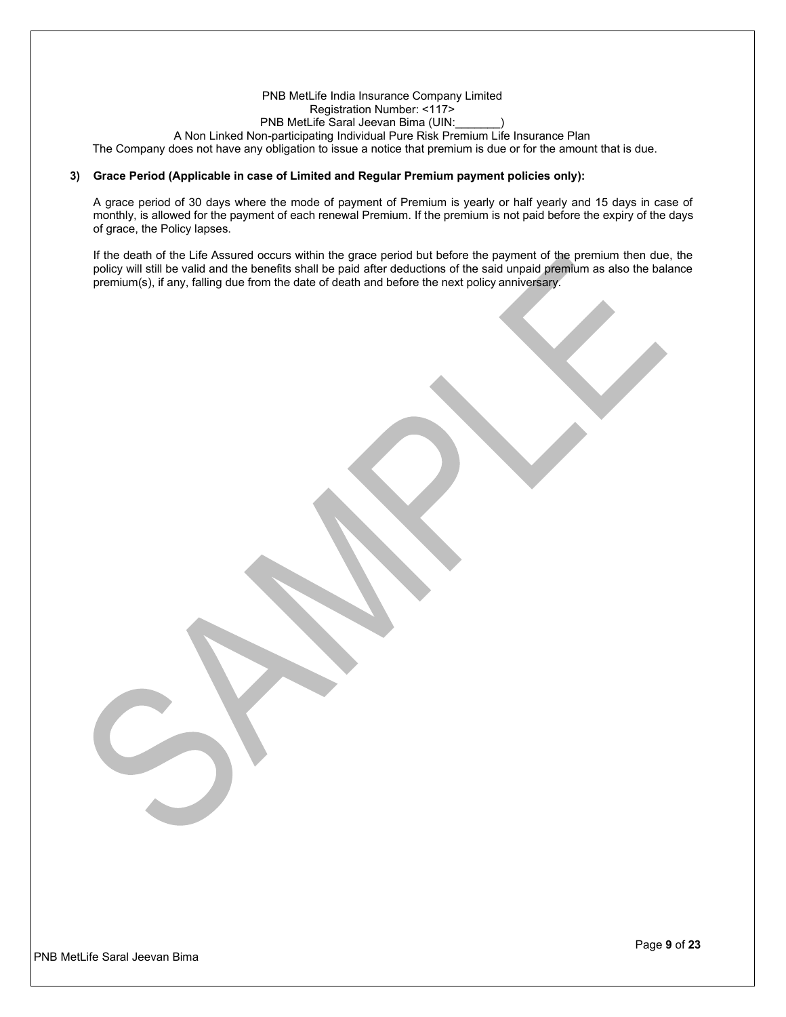#### PNB MetLife India Insurance Company Limited Registration Number: <117> PNB MetLife Saral Jeevan Bima (UIN: A Non Linked Non-participating Individual Pure Risk Premium Life Insurance Plan The Company does not have any obligation to issue a notice that premium is due or for the amount that is due.

#### **3) Grace Period (Applicable in case of Limited and Regular Premium payment policies only):**

A grace period of 30 days where the mode of payment of Premium is yearly or half yearly and 15 days in case of monthly, is allowed for the payment of each renewal Premium. If the premium is not paid before the expiry of the days of grace, the Policy lapses.

If the death of the Life Assured occurs within the grace period but before the payment of the premium then due, the policy will still be valid and the benefits shall be paid after deductions of the said unpaid premium as also the balance premium(s), if any, falling due from the date of death and before the next policy anniversary.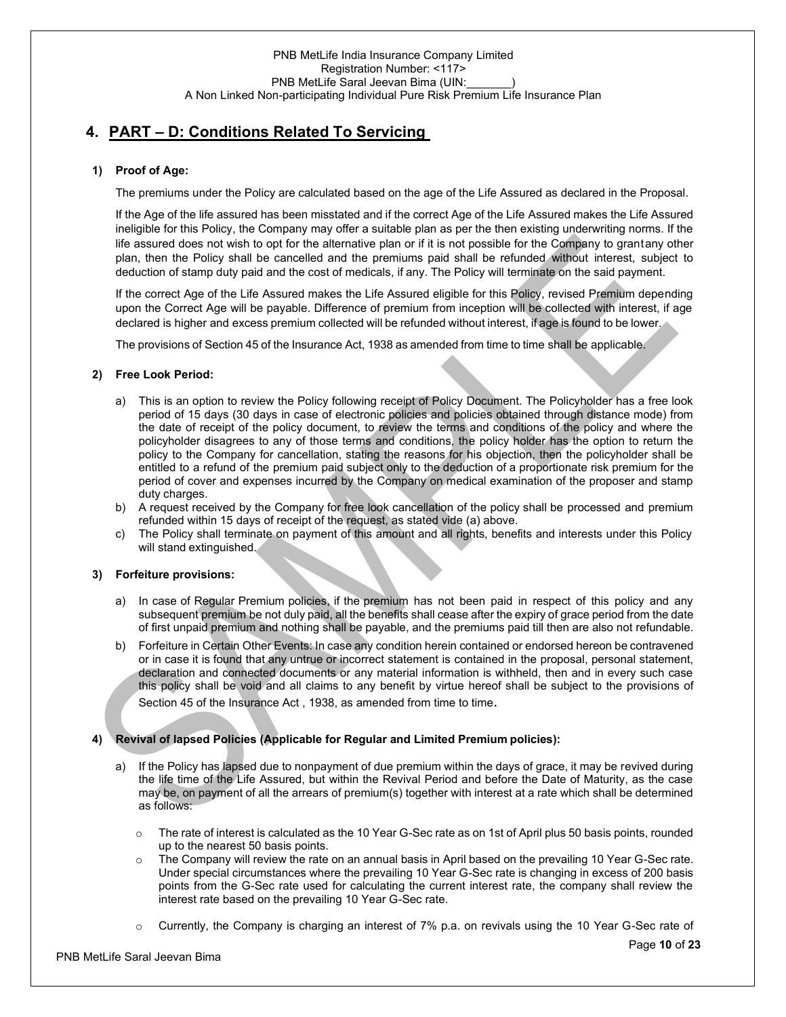## **4. PART – D: Conditions Related To Servicing**

## **1) Proof of Age:**

The premiums under the Policy are calculated based on the age of the Life Assured as declared in the Proposal.

If the Age of the life assured has been misstated and if the correct Age of the Life Assured makes the Life Assured ineligible for this Policy, the Company may offer a suitable plan as per the then existing underwriting norms. If the life assured does not wish to opt for the alternative plan or if it is not possible for the Company to grantany other plan, then the Policy shall be cancelled and the premiums paid shall be refunded without interest, subject to deduction of stamp duty paid and the cost of medicals, if any. The Policy will terminate on the said payment.

If the correct Age of the Life Assured makes the Life Assured eligible for this Policy, revised Premium depending upon the Correct Age will be payable. Difference of premium from inception will be collected with interest, if age declared is higher and excess premium collected will be refunded without interest, if age is found to be lower.

The provisions of Section 45 of the Insurance Act, 1938 as amended from time to time shall be applicable.

## **2) Free Look Period:**

- a) This is an option to review the Policy following receipt of Policy Document. The Policyholder has a free look period of 15 days (30 days in case of electronic policies and policies obtained through distance mode) from the date of receipt of the policy document, to review the terms and conditions of the policy and where the policyholder disagrees to any of those terms and conditions, the policy holder has the option to return the policy to the Company for cancellation, stating the reasons for his objection, then the policyholder shall be entitled to a refund of the premium paid subject only to the deduction of a proportionate risk premium for the period of cover and expenses incurred by the Company on medical examination of the proposer and stamp duty charges.
- b) A request received by the Company for free look cancellation of the policy shall be processed and premium refunded within 15 days of receipt of the request, as stated vide (a) above.
- c) The Policy shall terminate on payment of this amount and all rights, benefits and interests under this Policy will stand extinguished.

## **3) Forfeiture provisions:**

- a) In case of Regular Premium policies, if the premium has not been paid in respect of this policy and any subsequent premium be not duly paid, all the benefits shall cease after the expiry of grace period from the date of first unpaid premium and nothing shall be payable, and the premiums paid till then are also not refundable.
- b) Forfeiture in Certain Other Events: In case any condition herein contained or endorsed hereon be contravened or in case it is found that any untrue or incorrect statement is contained in the proposal, personal statement, declaration and connected documents or any material information is withheld, then and in every such case this policy shall be void and all claims to any benefit by virtue hereof shall be subject to the provisions of Section 45 of the Insurance Act , 1938, as amended from time to time.

## **4) Revival of lapsed Policies (Applicable for Regular and Limited Premium policies):**

- a) If the Policy has lapsed due to nonpayment of due premium within the days of grace, it may be revived during the life time of the Life Assured, but within the Revival Period and before the Date of Maturity, as the case may be, on payment of all the arrears of premium(s) together with interest at a rate which shall be determined as follows:
	- $\circ$  The rate of interest is calculated as the 10 Year G-Sec rate as on 1st of April plus 50 basis points, rounded up to the nearest 50 basis points.
	- $\circ$  The Company will review the rate on an annual basis in April based on the prevailing 10 Year G-Sec rate. Under special circumstances where the prevailing 10 Year G-Sec rate is changing in excess of 200 basis points from the G-Sec rate used for calculating the current interest rate, the company shall review the interest rate based on the prevailing 10 Year G-Sec rate.
	- o Currently, the Company is charging an interest of 7% p.a. on revivals using the 10 Year G-Sec rate of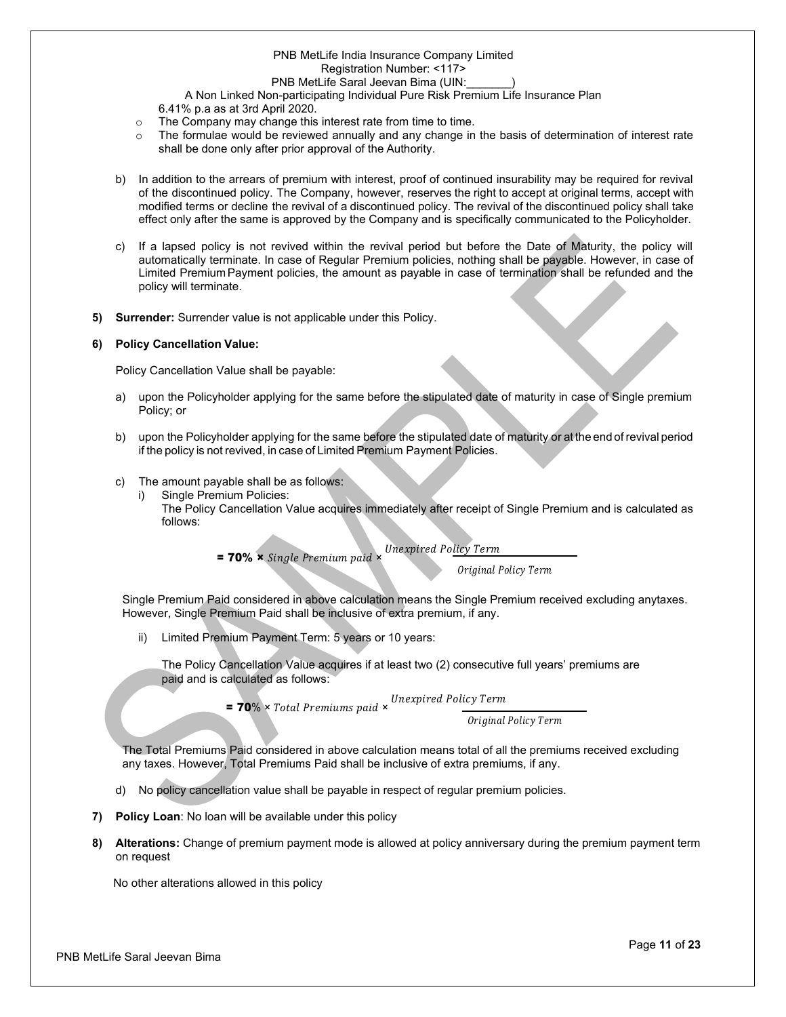## PNB MetLife India Insurance Company Limited Registration Number: <117>

PNB MetLife Saral Jeevan Bima (UIN:

A Non Linked Non-participating Individual Pure Risk Premium Life Insurance Plan

6.41% p.a as at 3rd April 2020.

- o The Company may change this interest rate from time to time.
- $\circ$  The formulae would be reviewed annually and any change in the basis of determination of interest rate shall be done only after prior approval of the Authority.
- b) In addition to the arrears of premium with interest, proof of continued insurability may be required for revival of the discontinued policy. The Company, however, reserves the right to accept at original terms, accept with modified terms or decline the revival of a discontinued policy. The revival of the discontinued policy shall take effect only after the same is approved by the Company and is specifically communicated to the Policyholder.
- c) If a lapsed policy is not revived within the revival period but before the Date of Maturity, the policy will automatically terminate. In case of Regular Premium policies, nothing shall be payable. However, in case of Limited Premium Payment policies, the amount as payable in case of termination shall be refunded and the policy will terminate.
- **5) Surrender:** Surrender value is not applicable under this Policy.

## **6) Policy Cancellation Value:**

Policy Cancellation Value shall be payable:

- a) upon the Policyholder applying for the same before the stipulated date of maturity in case of Single premium Policy; or
- b) upon the Policyholder applying for the same before the stipulated date of maturity or at the end of revival period if the policy is not revived, in case of Limited Premium Payment Policies.
- c) The amount payable shall be as follows:
	- Single Premium Policies:
		- The Policy Cancellation Value acquires immediately after receipt of Single Premium and is calculated as follows:
			- $= 70\%$   $\times$  *Single Premium paid*  $\times$ **Unexpired Policy Term**

Original Policy Term

Single Premium Paid considered in above calculation means the Single Premium received excluding anytaxes. However, Single Premium Paid shall be inclusive of extra premium, if any.

ii) Limited Premium Payment Term: 5 years or 10 years:

The Policy Cancellation Value acquires if at least two (2) consecutive full years' premiums are paid and is calculated as follows:

> $= 70\% \times Total$  Premiums paid  $\times$ Unexpired Policy Term

Original Policy Term

The Total Premiums Paid considered in above calculation means total of all the premiums received excluding any taxes. However, Total Premiums Paid shall be inclusive of extra premiums, if any.

- d) No policy cancellation value shall be payable in respect of regular premium policies.
- **7) Policy Loan**: No loan will be available under this policy
- **8) Alterations:** Change of premium payment mode is allowed at policy anniversary during the premium payment term on request

No other alterations allowed in this policy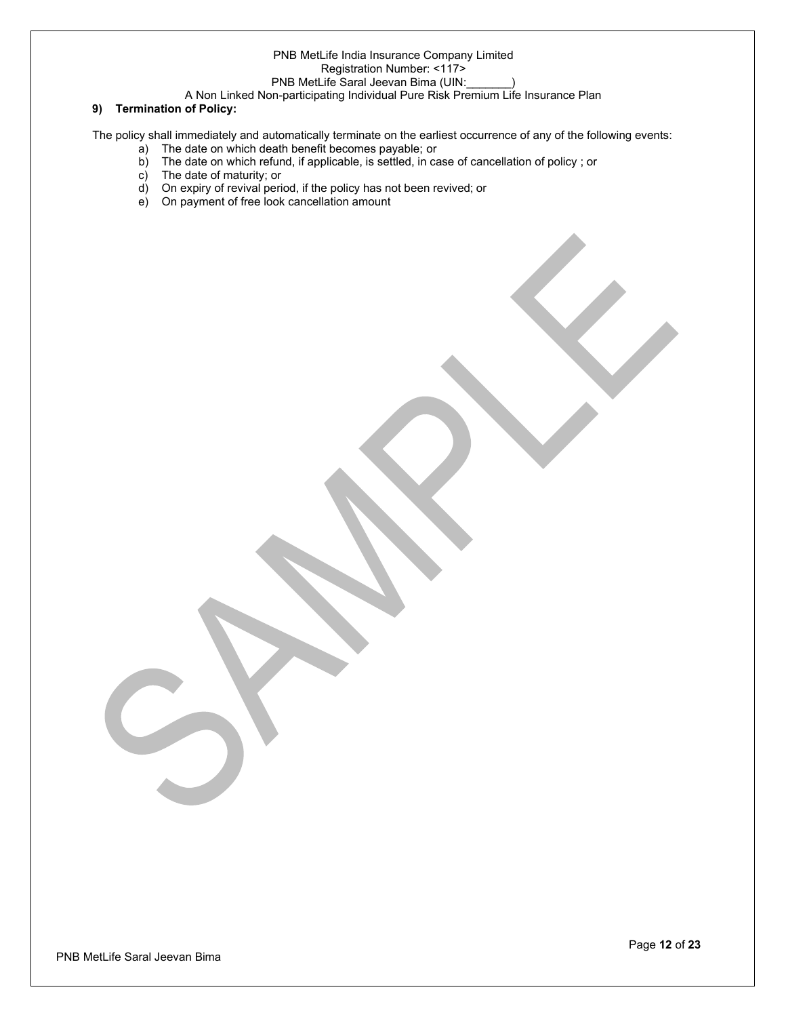## PNB MetLife India Insurance Company Limited Registration Number: <117>

## PNB MetLife Saral Jeevan Bima (UIN:

A Non Linked Non-participating Individual Pure Risk Premium Life Insurance Plan

## **9) Termination of Policy:**

The policy shall immediately and automatically terminate on the earliest occurrence of any of the following events:

- a) The date on which death benefit becomes payable; or
- b) The date on which refund, if applicable, is settled, in case of cancellation of policy; or
- c) The date of maturity; or
- d) On expiry of revival period, if the policy has not been revived; or
- e) On payment of free look cancellation amount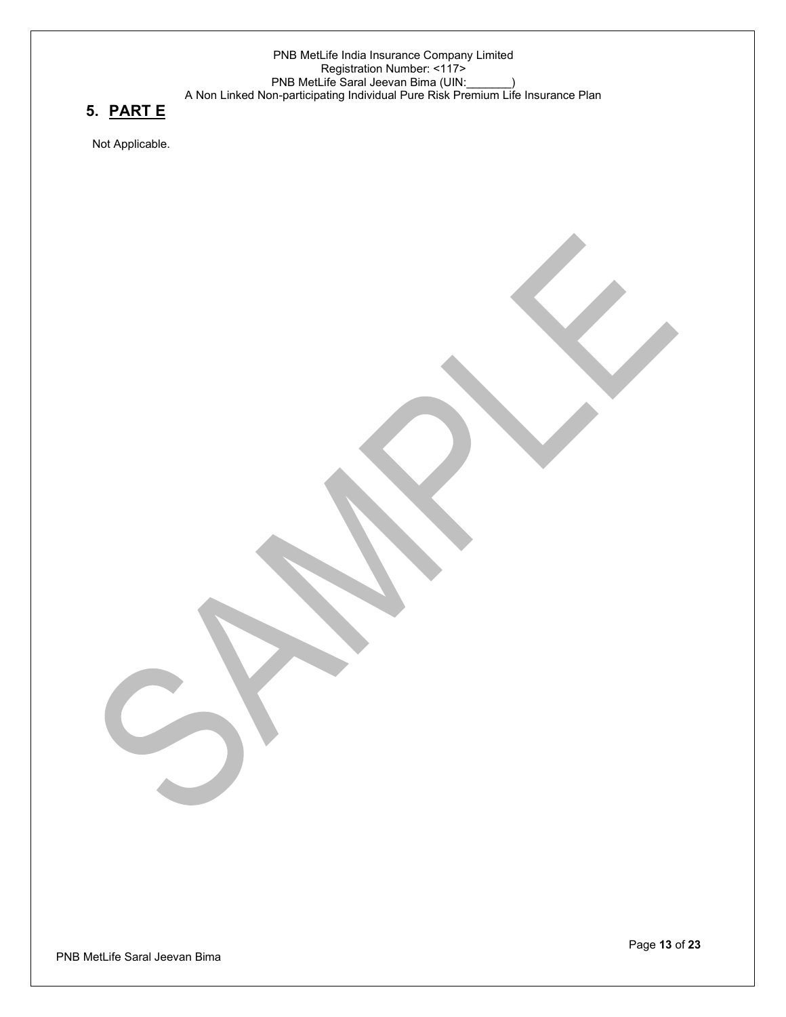## **5. PART E**

Not Applicable.

PNB MetLife Saral Jeevan Bima

Page **13** of **23**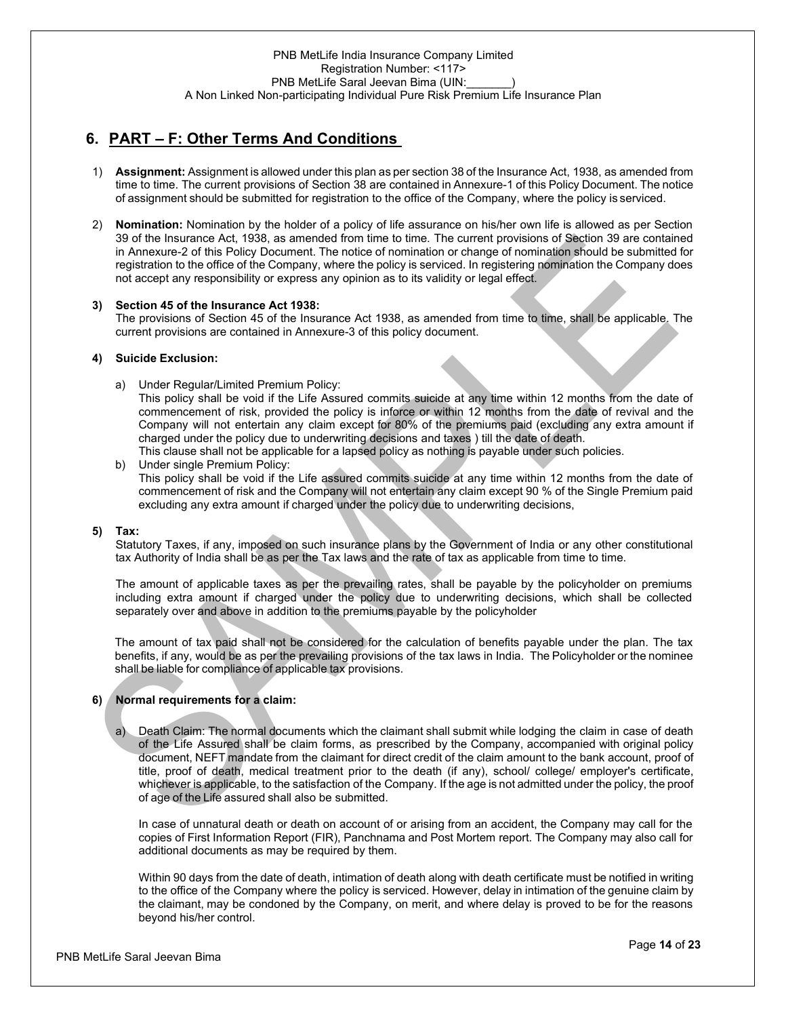## **6. PART – F: Other Terms And Conditions**

- 1) **Assignment:** Assignment is allowed under this plan as per section 38 of the Insurance Act, 1938, as amended from time to time. The current provisions of Section 38 are contained in Annexure-1 of this Policy Document. The notice of assignment should be submitted for registration to the office of the Company, where the policy is serviced.
- 2) **Nomination:** Nomination by the holder of a policy of life assurance on his/her own life is allowed as per Section 39 of the Insurance Act, 1938, as amended from time to time. The current provisions of Section 39 are contained in Annexure-2 of this Policy Document. The notice of nomination or change of nomination should be submitted for registration to the office of the Company, where the policy is serviced. In registering nomination the Company does not accept any responsibility or express any opinion as to its validity or legal effect.

## **3) Section 45 of the Insurance Act 1938:**

The provisions of Section 45 of the Insurance Act 1938, as amended from time to time, shall be applicable. The current provisions are contained in Annexure-3 of this policy document.

#### **4) Suicide Exclusion:**

a) Under Regular/Limited Premium Policy:

This policy shall be void if the Life Assured commits suicide at any time within 12 months from the date of commencement of risk, provided the policy is inforce or within 12 months from the date of revival and the Company will not entertain any claim except for 80% of the premiums paid (excluding any extra amount if charged under the policy due to underwriting decisions and taxes ) till the date of death.

This clause shall not be applicable for a lapsed policy as nothing is payable under such policies.

b) Under single Premium Policy: This policy shall be void if the Life assured commits suicide at any time within 12 months from the date of commencement of risk and the Company will not entertain any claim except 90 % of the Single Premium paid excluding any extra amount if charged under the policy due to underwriting decisions,

#### **5) Tax:**

Statutory Taxes, if any, imposed on such insurance plans by the Government of India or any other constitutional tax Authority of India shall be as per the Tax laws and the rate of tax as applicable from time to time.

The amount of applicable taxes as per the prevailing rates, shall be payable by the policyholder on premiums including extra amount if charged under the policy due to underwriting decisions, which shall be collected separately over and above in addition to the premiums payable by the policyholder

The amount of tax paid shall not be considered for the calculation of benefits payable under the plan. The tax benefits, if any, would be as per the prevailing provisions of the tax laws in India. The Policyholder or the nominee shall be liable for compliance of applicable tax provisions.

## **6) Normal requirements for a claim:**

Death Claim: The normal documents which the claimant shall submit while lodging the claim in case of death of the Life Assured shall be claim forms, as prescribed by the Company, accompanied with original policy document, NEFT mandate from the claimant for direct credit of the claim amount to the bank account, proof of title, proof of death, medical treatment prior to the death (if any), school/ college/ employer's certificate, whichever is applicable, to the satisfaction of the Company. If the age is not admitted under the policy, the proof of age of the Life assured shall also be submitted.

In case of unnatural death or death on account of or arising from an accident, the Company may call for the copies of First Information Report (FIR), Panchnama and Post Mortem report. The Company may also call for additional documents as may be required by them.

Within 90 days from the date of death, intimation of death along with death certificate must be notified in writing to the office of the Company where the policy is serviced. However, delay in intimation of the genuine claim by the claimant, may be condoned by the Company, on merit, and where delay is proved to be for the reasons beyond his/her control.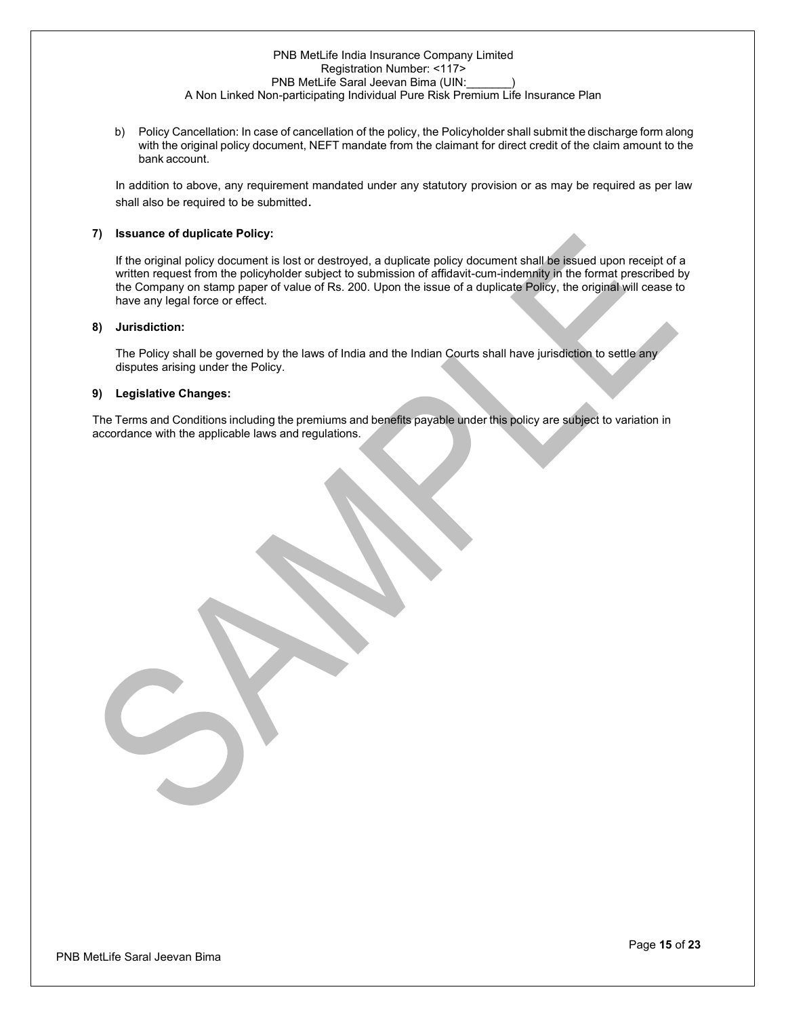b) Policy Cancellation: In case of cancellation of the policy, the Policyholder shall submit the discharge form along with the original policy document, NEFT mandate from the claimant for direct credit of the claim amount to the bank account.

In addition to above, any requirement mandated under any statutory provision or as may be required as per law shall also be required to be submitted.

#### **7) Issuance of duplicate Policy:**

If the original policy document is lost or destroyed, a duplicate policy document shall be issued upon receipt of a written request from the policyholder subject to submission of affidavit-cum-indemnity in the format prescribed by the Company on stamp paper of value of Rs. 200. Upon the issue of a duplicate Policy, the original will cease to have any legal force or effect.

#### **8) Jurisdiction:**

The Policy shall be governed by the laws of India and the Indian Courts shall have jurisdiction to settle any disputes arising under the Policy.

#### **9) Legislative Changes:**

The Terms and Conditions including the premiums and benefits payable under this policy are subject to variation in accordance with the applicable laws and regulations.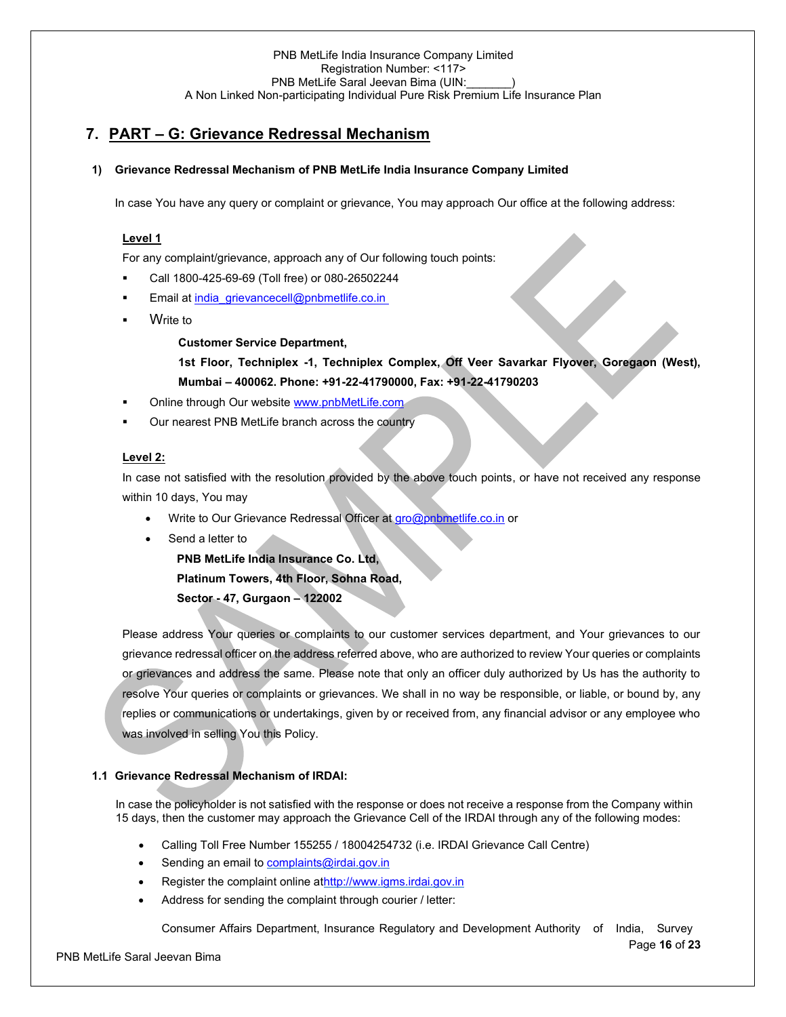## **7. PART – G: Grievance Redressal Mechanism**

## **1) Grievance Redressal Mechanism of PNB MetLife India Insurance Company Limited**

In case You have any query or complaint or grievance, You may approach Our office at the following address:

#### **Level 1**

For any complaint/grievance, approach any of Our following touch points:

- Call 1800-425-69-69 (Toll free) or 080-26502244
- Email a[t india\\_grievancecell@pnbmetlife.co.in](mailto:india_grievancecell@pnbmetlife.co.in)
- **Write to**

**Customer Service Department,** 

**1st Floor, Techniplex -1, Techniplex Complex, Off Veer Savarkar Flyover, Goregaon (West), Mumbai – 400062. Phone: +91-22-41790000, Fax: +91-22-41790203**

- Online through Our websit[e www.pnbMetLife.com](http://www.pnbmetlife.com/)
- Our nearest PNB MetLife branch across the country

#### **Level 2:**

In case not satisfied with the resolution provided by the above touch points, or have not received any response within 10 days, You may

- Write to Our Grievance Redressal Officer at [gro@pnbmetlife.co.in](mailto:gro@pnbmetlife.co.in) or
- Send a letter to

**PNB MetLife India Insurance Co. Ltd, Platinum Towers, 4th Floor, Sohna Road, Sector - 47, Gurgaon – 122002**

Please address Your queries or complaints to our customer services department, and Your grievances to our grievance redressal officer on the address referred above, who are authorized to review Your queries or complaints or grievances and address the same. Please note that only an officer duly authorized by Us has the authority to resolve Your queries or complaints or grievances. We shall in no way be responsible, or liable, or bound by, any replies or communications or undertakings, given by or received from, any financial advisor or any employee who was involved in selling You this Policy.

## **1.1 Grievance Redressal Mechanism of IRDAI:**

In case the policyholder is not satisfied with the response or does not receive a response from the Company within 15 days, then the customer may approach the Grievance Cell of the IRDAI through any of the following modes:

- Calling Toll Free Number 155255 / 18004254732 (i.e. IRDAI Grievance Call Centre)
- Sending an email to [complaints@irdai.gov.in](mailto:complaints@irdai.gov.in)
- Register the complaint online a[thttp://www.igms.irdai.gov.in](http://www.igms.irdai.gov.in/)
- Address for sending the complaint through courier / letter:

Consumer Affairs Department, Insurance Regulatory and Development Authority of India, Survey

Page **16** of **23**

PNB MetLife Saral Jeevan Bima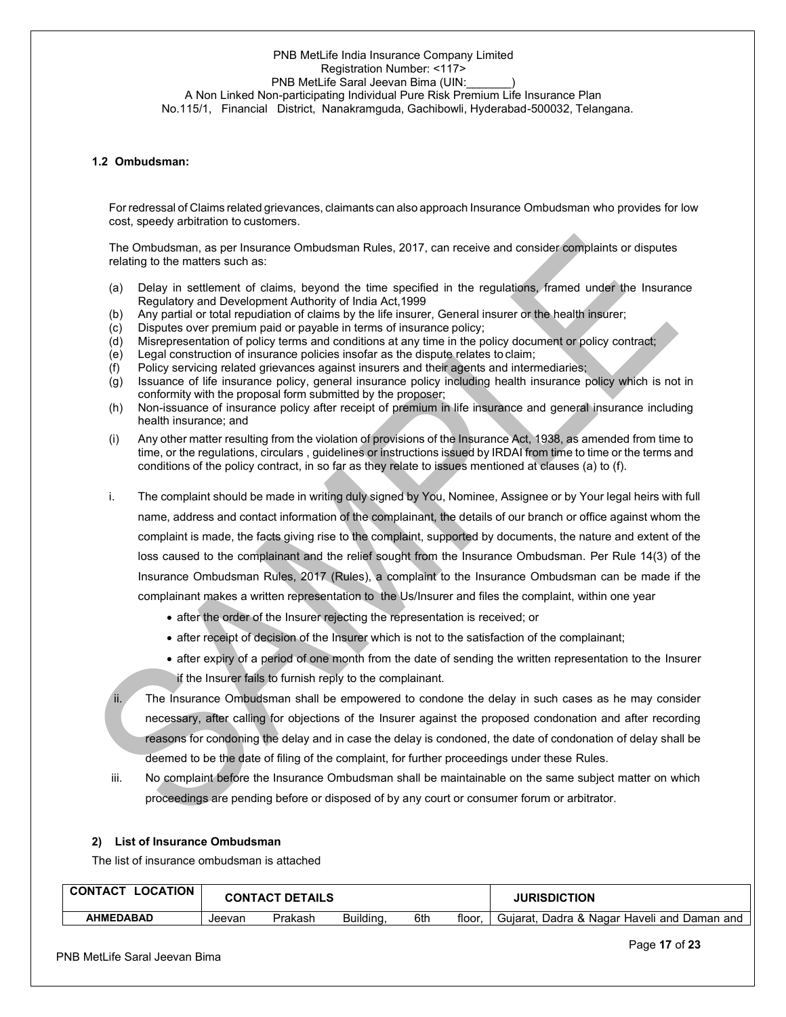## PNB MetLife India Insurance Company Limited Registration Number: <117> PNB MetLife Saral Jeevan Bima (UIN:

A Non Linked Non-participating Individual Pure Risk Premium Life Insurance Plan No.115/1, Financial District, Nanakramguda, Gachibowli, Hyderabad-500032, Telangana.

## **1.2 Ombudsman:**

For redressal of Claims related grievances, claimants can also approach Insurance Ombudsman who provides for low cost, speedy arbitration to customers.

The Ombudsman, as per Insurance Ombudsman Rules, 2017, can receive and consider complaints or disputes relating to the matters such as:

- (a) Delay in settlement of claims, beyond the time specified in the regulations, framed under the Insurance Regulatory and Development Authority of India Act,1999
- (b) Any partial or total repudiation of claims by the life insurer, General insurer or the health insurer;
- (c) Disputes over premium paid or payable in terms of insurance policy;
- (d) Misrepresentation of policy terms and conditions at any time in the policy document or policy contract;
- (e) Legal construction of insurance policies insofar as the dispute relates to claim;
- (f) Policy servicing related grievances against insurers and their agents and intermediaries;
- (g) Issuance of life insurance policy, general insurance policy including health insurance policy which is not in conformity with the proposal form submitted by the proposer;
- (h) Non-issuance of insurance policy after receipt of premium in life insurance and general insurance including health insurance; and
- (i) Any other matter resulting from the violation of provisions of the Insurance Act, 1938, as amended from time to time, or the regulations, circulars , guidelines or instructions issued by IRDAI from time to time or the terms and conditions of the policy contract, in so far as they relate to issues mentioned at clauses (a) to (f).
- i. The complaint should be made in writing duly signed by You, Nominee, Assignee or by Your legal heirs with full name, address and contact information of the complainant, the details of our branch or office against whom the complaint is made, the facts giving rise to the complaint, supported by documents, the nature and extent of the loss caused to the complainant and the relief sought from the Insurance Ombudsman. Per Rule 14(3) of the Insurance Ombudsman Rules, 2017 (Rules), a complaint to the Insurance Ombudsman can be made if the complainant makes a written representation to the Us/Insurer and files the complaint, within one year
	- after the order of the Insurer rejecting the representation is received; or
	- after receipt of decision of the Insurer which is not to the satisfaction of the complainant;
	- after expiry of a period of one month from the date of sending the written representation to the Insurer if the Insurer fails to furnish reply to the complainant.

The Insurance Ombudsman shall be empowered to condone the delay in such cases as he may consider necessary, after calling for objections of the Insurer against the proposed condonation and after recording reasons for condoning the delay and in case the delay is condoned, the date of condonation of delay shall be deemed to be the date of filing of the complaint, for further proceedings under these Rules.

iii. No complaint before the Insurance Ombudsman shall be maintainable on the same subject matter on which proceedings are pending before or disposed of by any court or consumer forum or arbitrator.

#### **2) List of Insurance Ombudsman**

The list of insurance ombudsman is attached

| CONTACT<br><b>LOCATION</b> | <b>CONTACT DETAILS</b> |         |           |     | <b>JURISDICTION</b> |                                                  |
|----------------------------|------------------------|---------|-----------|-----|---------------------|--------------------------------------------------|
| AHMEDABAD                  | Jeevan                 | Prakash | Building. | 6th | floor               | . Dadra & Nagar Haveli and Daman and<br>Guiarat. |

PNB MetLife Saral Jeevan Bima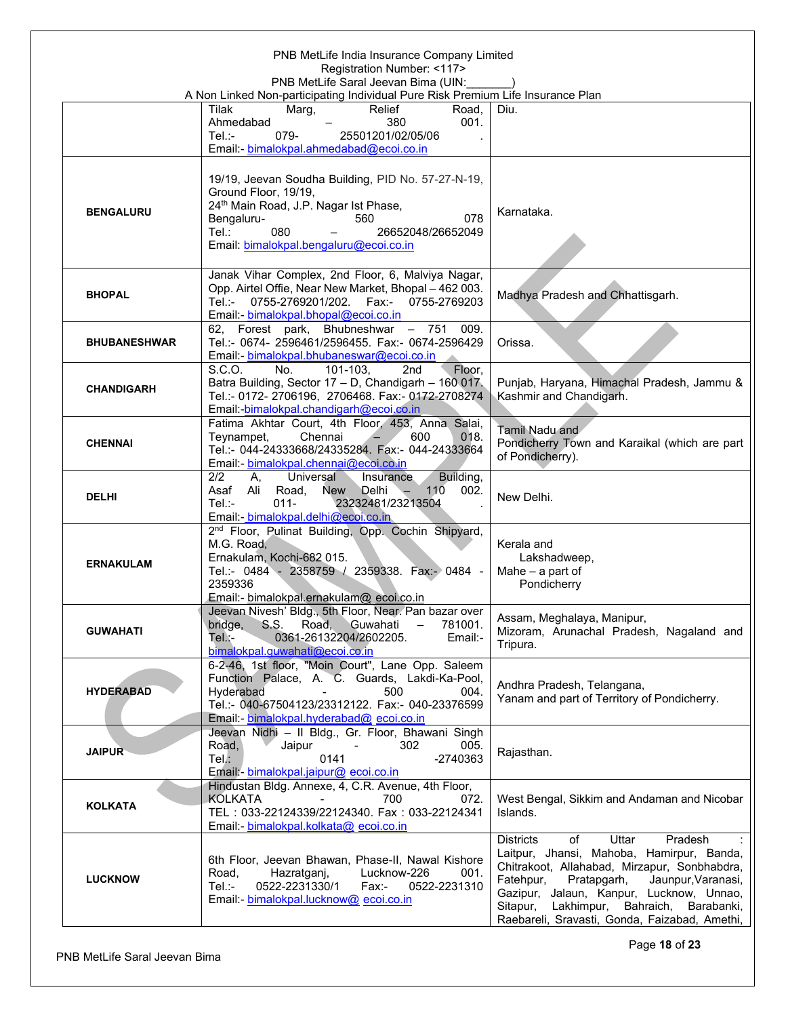| PNB MetLife India Insurance Company Limited<br>Registration Number: <117><br>PNB MetLife Saral Jeevan Bima (UIN: |                                                                                                                                                                                                                                            |                                                                                                                                                                                                                                                                                                                                       |  |  |  |  |
|------------------------------------------------------------------------------------------------------------------|--------------------------------------------------------------------------------------------------------------------------------------------------------------------------------------------------------------------------------------------|---------------------------------------------------------------------------------------------------------------------------------------------------------------------------------------------------------------------------------------------------------------------------------------------------------------------------------------|--|--|--|--|
|                                                                                                                  | A Non Linked Non-participating Individual Pure Risk Premium Life Insurance Plan<br><b>Tilak</b><br>Marg,<br>Relief<br>Road,<br>001.<br>380<br>Ahmedabad<br>$Tel: -$<br>079-<br>25501201/02/05/06<br>Email: bimalokpal.ahmedabad@ecoi.co.in | Diu.                                                                                                                                                                                                                                                                                                                                  |  |  |  |  |
| <b>BENGALURU</b>                                                                                                 | 19/19, Jeevan Soudha Building, PID No. 57-27-N-19,<br>Ground Floor, 19/19,<br>24 <sup>th</sup> Main Road, J.P. Nagar Ist Phase,<br>078<br>Bengaluru-<br>560<br>Tel.:<br>080<br>26652048/26652049<br>Email: bimalokpal.bengaluru@ecoi.co.in | Karnataka.                                                                                                                                                                                                                                                                                                                            |  |  |  |  |
| <b>BHOPAL</b>                                                                                                    | Janak Vihar Complex, 2nd Floor, 6, Malviya Nagar,<br>Opp. Airtel Offie, Near New Market, Bhopal - 462 003.<br>0755-2769201/202. Fax:- 0755-2769203<br>Tel.:-<br>Email: bimalokpal.bhopal@ecoi.co.in                                        | Madhya Pradesh and Chhattisgarh.                                                                                                                                                                                                                                                                                                      |  |  |  |  |
| <b>BHUBANESHWAR</b>                                                                                              | 62, Forest park, Bhubneshwar - 751 009.<br>Tel.:- 0674- 2596461/2596455. Fax:- 0674-2596429<br>Email: bimalokpal.bhubaneswar@ecoi.co.in                                                                                                    | Orissa.                                                                                                                                                                                                                                                                                                                               |  |  |  |  |
| <b>CHANDIGARH</b>                                                                                                | S.C.O.<br>101-103,<br>No.<br>2nd<br>Floor,<br>Batra Building, Sector 17 - D, Chandigarh - 160 017.<br>Tel.:- 0172- 2706196, 2706468. Fax:- 0172-2708274<br>Email: bimalokpal.chandigarh@ecoi.co.in                                         | Punjab, Haryana, Himachal Pradesh, Jammu &<br>Kashmir and Chandigarh.                                                                                                                                                                                                                                                                 |  |  |  |  |
| <b>CHENNAI</b>                                                                                                   | Fatima Akhtar Court, 4th Floor, 453, Anna Salai,<br>Teynampet,<br>Chennai<br>600<br>018.<br>Tel.:- 044-24333668/24335284. Fax:- 044-24333664<br>Email: bimalokpal.chennai@ecoi.co.in                                                       | Tamil Nadu and<br>Pondicherry Town and Karaikal (which are part<br>of Pondicherry).                                                                                                                                                                                                                                                   |  |  |  |  |
| <b>DELHI</b>                                                                                                     | 2/2<br>Universal<br>A,<br>Building,<br>Insurance<br>Asaf<br>Ali Road,<br>Delhi<br>110<br>002.<br>New<br>$\sim$<br>23232481/23213504<br>Tel∴-<br>$011 -$<br>Email: bimalokpal.delhi@ecoi.co.in                                              | New Delhi.                                                                                                                                                                                                                                                                                                                            |  |  |  |  |
| <b>ERNAKULAM</b>                                                                                                 | 2 <sup>nd</sup> Floor, Pulinat Building, Opp. Cochin Shipyard,<br>M.G. Road,<br>Ernakulam, Kochi-682 015.<br>Tel.:- 0484 - 2358759 / 2359338. Fax:- 0484 -<br>2359336<br>Email:- bimalokpal.ernakulam@ ecoi.co.in                          | Kerala and<br>Lakshadweep,<br>Mahe $-$ a part of<br>Pondicherry                                                                                                                                                                                                                                                                       |  |  |  |  |
| <b>GUWAHATI</b>                                                                                                  | Jeevan Nivesh' Bldg., 5th Floor, Near. Pan bazar over<br>S.S.<br>Road, Guwahati<br>781001.<br>bridge,<br>$-$<br>0361-26132204/2602205.<br>Email:-<br>Tel.:-<br>bimalokpal.quwahati@ecoi.co.in                                              | Assam, Meghalaya, Manipur,<br>Mizoram, Arunachal Pradesh, Nagaland and<br>Tripura.                                                                                                                                                                                                                                                    |  |  |  |  |
| <b>HYDERABAD</b>                                                                                                 | 6-2-46, 1st floor, "Moin Court", Lane Opp. Saleem<br>Function Palace, A. C. Guards, Lakdi-Ka-Pool,<br>Hyderabad<br>500<br>004.<br>Tel.:- 040-67504123/23312122. Fax:- 040-23376599<br>Email: bimalokpal.hyderabad@ ecoi.co.in              | Andhra Pradesh, Telangana,<br>Yanam and part of Territory of Pondicherry.                                                                                                                                                                                                                                                             |  |  |  |  |
| <b>JAIPUR</b>                                                                                                    | Jeevan Nidhi - Il Bldg., Gr. Floor, Bhawani Singh<br>Road,<br>Jaipur<br>302<br>005.<br>Tel.<br>-2740363<br>0141<br>Email: bimalokpal.jaipur@ ecoi.co.in                                                                                    | Rajasthan.                                                                                                                                                                                                                                                                                                                            |  |  |  |  |
| <b>KOLKATA</b>                                                                                                   | Hindustan Bldg. Annexe, 4, C.R. Avenue, 4th Floor,<br><b>KOLKATA</b><br>700<br>072.<br>TEL: 033-22124339/22124340. Fax: 033-22124341<br>Email: bimalokpal.kolkata@ ecoi.co.in                                                              | West Bengal, Sikkim and Andaman and Nicobar<br>Islands.                                                                                                                                                                                                                                                                               |  |  |  |  |
| <b>LUCKNOW</b>                                                                                                   | 6th Floor, Jeevan Bhawan, Phase-II, Nawal Kishore<br>Lucknow-226<br>Road,<br>Hazratganj,<br>001.<br>$Tel: -$<br>0522-2231330/1<br>Fax:-<br>0522-2231310<br>Email: bimalokpal.lucknow@ ecoi.co.in                                           | <b>Districts</b><br>Pradesh<br>of<br>Uttar<br>Laitpur, Jhansi, Mahoba, Hamirpur, Banda,<br>Chitrakoot, Allahabad, Mirzapur, Sonbhabdra,<br>Fatehpur,<br>Pratapgarh,<br>Jaunpur, Varanasi,<br>Gazipur, Jalaun, Kanpur, Lucknow, Unnao,<br>Sitapur, Lakhimpur, Bahraich,<br>Barabanki,<br>Raebareli, Sravasti, Gonda, Faizabad, Amethi, |  |  |  |  |

Page **18** of **23**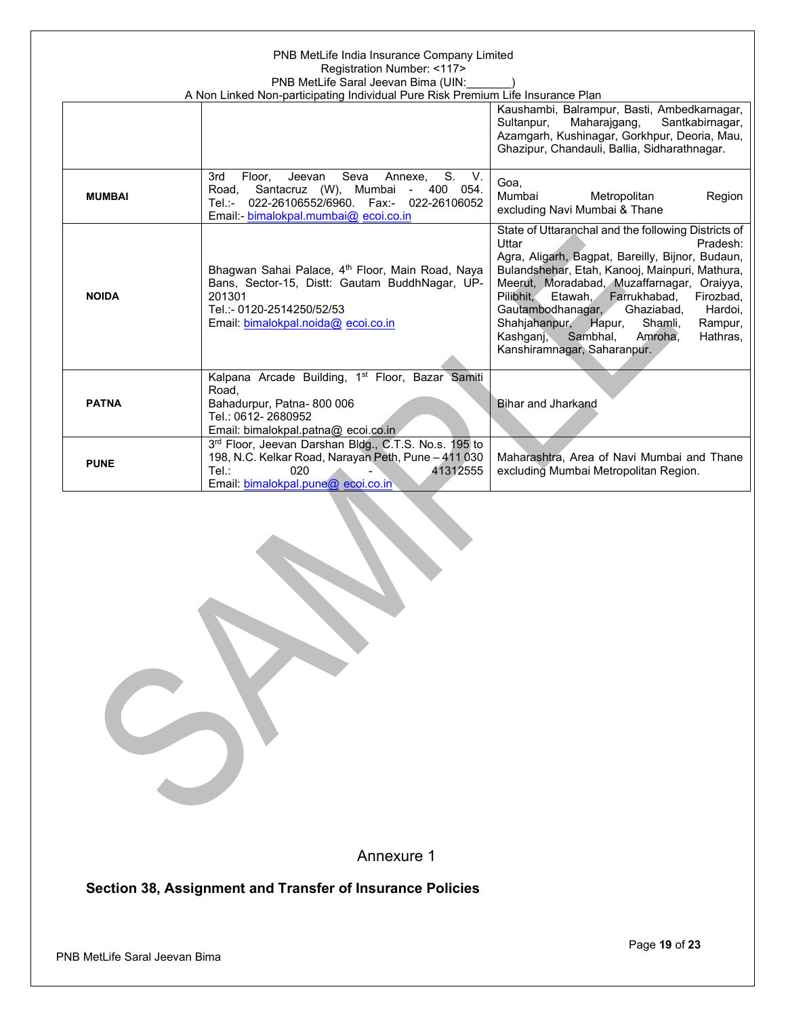## PNB MetLife India Insurance Company Limited Registration Number: <117> PNB MetLife Saral Jeevan Bima (UIN:\_\_\_\_\_\_\_)

| A Non Linked Non-participating Individual Pure Risk Premium Life Insurance Plan |                                                                                                                                                                                                              |                                                                                                                                                                                                                                                                                                                                                                                                                                                              |
|---------------------------------------------------------------------------------|--------------------------------------------------------------------------------------------------------------------------------------------------------------------------------------------------------------|--------------------------------------------------------------------------------------------------------------------------------------------------------------------------------------------------------------------------------------------------------------------------------------------------------------------------------------------------------------------------------------------------------------------------------------------------------------|
|                                                                                 |                                                                                                                                                                                                              | Kaushambi, Balrampur, Basti, Ambedkarnagar,<br>Maharajgang,<br>Sultanpur,<br>Santkabirnagar,<br>Azamgarh, Kushinagar, Gorkhpur, Deoria, Mau,<br>Ghazipur, Chandauli, Ballia, Sidharathnagar.                                                                                                                                                                                                                                                                 |
| <b>MUMBAI</b>                                                                   | 3rd<br>Seva<br>S.<br>V.<br>Floor.<br>Jeevan<br>Annexe,<br>400 054.<br>Santacruz (W), Mumbai<br>Road.<br>$\sim$<br>022-26106552/6960. Fax:-<br>022-26106052<br>Tel.:-<br>Email: bimalokpal.mumbai@ ecoi.co.in | Goa.<br>Mumbai<br>Metropolitan<br>Region<br>excluding Navi Mumbai & Thane                                                                                                                                                                                                                                                                                                                                                                                    |
| <b>NOIDA</b>                                                                    | Bhagwan Sahai Palace, 4 <sup>th</sup> Floor, Main Road, Naya<br>Bans, Sector-15, Distt: Gautam BuddhNagar, UP-<br>201301<br>Tel.:- 0120-2514250/52/53<br>Email: bimalokpal.noida@ ecoi.co.in                 | State of Uttaranchal and the following Districts of<br>Pradesh:<br>Uttar<br>Agra, Aligarh, Bagpat, Bareilly, Bijnor, Budaun,<br>Bulandshehar, Etah, Kanooj, Mainpuri, Mathura,<br>Meerut, Moradabad, Muzaffarnagar, Oraiyya,<br>Farrukhabad,<br>Pilibhit.<br>Etawah.<br>Firozbad,<br>Ghaziabad.<br>Gautambodhanagar,<br>Hardoi,<br>Shahjahanpur, Hapur,<br>Shamli.<br>Rampur,<br>Sambhal,<br>Kashqani,<br>Amroha,<br>Hathras,<br>Kanshiramnagar, Saharanpur. |
| <b>PATNA</b>                                                                    | Kalpana Arcade Building, 1 <sup>st</sup> Floor, Bazar Samiti<br>Road.<br>Bahadurpur, Patna-800 006<br>Tel.: 0612-2680952<br>Email: bimalokpal.patna@ ecoi.co.in                                              | <b>Bihar and Jharkand</b>                                                                                                                                                                                                                                                                                                                                                                                                                                    |
| <b>PUNE</b>                                                                     | 3rd Floor, Jeevan Darshan Bldg., C.T.S. No.s. 195 to<br>198, N.C. Kelkar Road, Narayan Peth, Pune - 411 030<br>Tel:<br>020<br>41312555<br>Email: bimalokpal.pune@ ecoi.co.in                                 | Maharashtra, Area of Navi Mumbai and Thane<br>excluding Mumbai Metropolitan Region.                                                                                                                                                                                                                                                                                                                                                                          |

Annexure 1

**Section 38, Assignment and Transfer of Insurance Policies**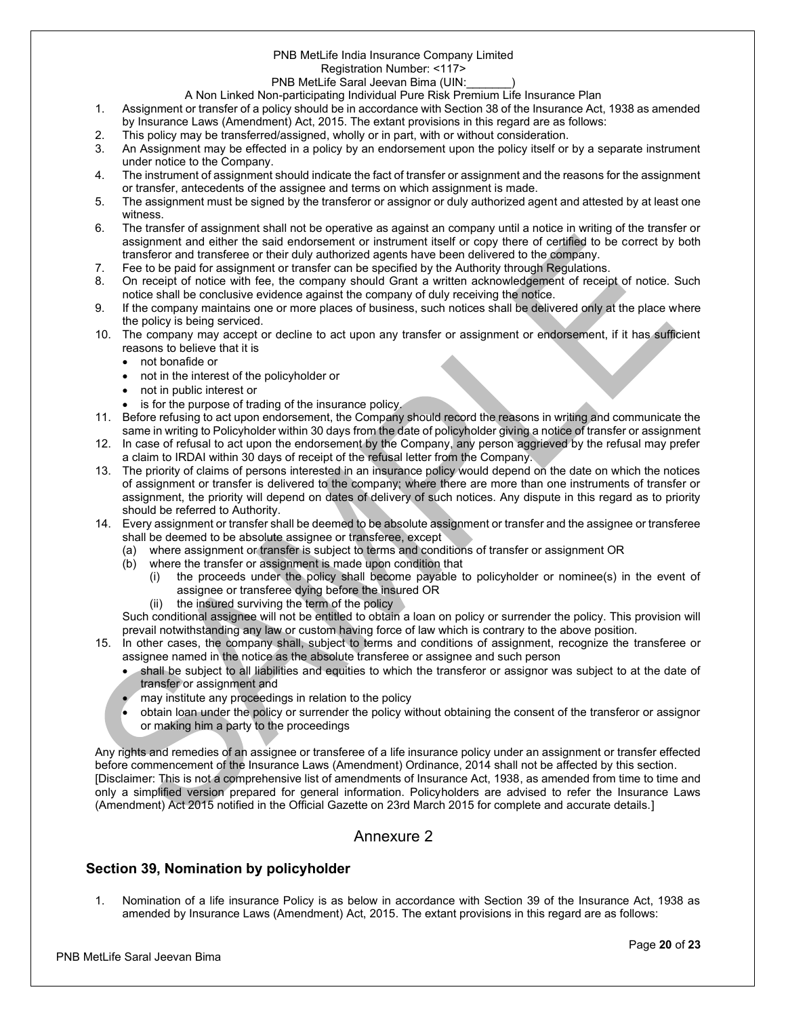#### PNB MetLife India Insurance Company Limited

Registration Number: <117>

#### PNB MetLife Saral Jeevan Bima (UIN:

A Non Linked Non-participating Individual Pure Risk Premium Life Insurance Plan

- 1. Assignment or transfer of a policy should be in accordance with Section 38 of the Insurance Act, 1938 as amended by Insurance Laws (Amendment) Act, 2015. The extant provisions in this regard are as follows:
- 2. This policy may be transferred/assigned, wholly or in part, with or without consideration.
- 3. An Assignment may be effected in a policy by an endorsement upon the policy itself or by a separate instrument under notice to the Company.
- 4. The instrument of assignment should indicate the fact of transfer or assignment and the reasons for the assignment or transfer, antecedents of the assignee and terms on which assignment is made.
- 5. The assignment must be signed by the transferor or assignor or duly authorized agent and attested by at least one witness.
- 6. The transfer of assignment shall not be operative as against an company until a notice in writing of the transfer or assignment and either the said endorsement or instrument itself or copy there of certified to be correct by both transferor and transferee or their duly authorized agents have been delivered to the company.
- 7. Fee to be paid for assignment or transfer can be specified by the Authority through Regulations.
- 8. On receipt of notice with fee, the company should Grant a written acknowledgement of receipt of notice. Such notice shall be conclusive evidence against the company of duly receiving the notice.
- 9. If the company maintains one or more places of business, such notices shall be delivered only at the place where the policy is being serviced.
- 10. The company may accept or decline to act upon any transfer or assignment or endorsement, if it has sufficient reasons to believe that it is
	- not bonafide or
	- not in the interest of the policyholder or
	- not in public interest or
	- is for the purpose of trading of the insurance policy.
- 11. Before refusing to act upon endorsement, the Company should record the reasons in writing and communicate the same in writing to Policyholder within 30 days from the date of policyholder giving a notice of transfer or assignment
- 12. In case of refusal to act upon the endorsement by the Company, any person aggrieved by the refusal may prefer a claim to IRDAI within 30 days of receipt of the refusal letter from the Company.
- 13. The priority of claims of persons interested in an insurance policy would depend on the date on which the notices of assignment or transfer is delivered to the company; where there are more than one instruments of transfer or assignment, the priority will depend on dates of delivery of such notices. Any dispute in this regard as to priority should be referred to Authority.
- 14. Every assignment or transfer shall be deemed to be absolute assignment or transfer and the assignee or transferee shall be deemed to be absolute assignee or transferee, except
	- (a) where assignment or transfer is subject to terms and conditions of transfer or assignment OR
	- (b) where the transfer or assignment is made upon condition that
		- (i) the proceeds under the policy shall become payable to policyholder or nominee(s) in the event of assignee or transferee dying before the insured OR
		- (ii) the insured surviving the term of the policy

Such conditional assignee will not be entitled to obtain a loan on policy or surrender the policy. This provision will prevail notwithstanding any law or custom having force of law which is contrary to the above position.

- 15. In other cases, the company shall, subject to terms and conditions of assignment, recognize the transferee or assignee named in the notice as the absolute transferee or assignee and such person
	- shall be subject to all liabilities and equities to which the transferor or assignor was subject to at the date of transfer or assignment and
	- may institute any proceedings in relation to the policy
	- obtain loan under the policy or surrender the policy without obtaining the consent of the transferor or assignor or making him a party to the proceedings

Any rights and remedies of an assignee or transferee of a life insurance policy under an assignment or transfer effected before commencement of the Insurance Laws (Amendment) Ordinance, 2014 shall not be affected by this section. [Disclaimer: This is not a comprehensive list of amendments of Insurance Act, 1938, as amended from time to time and only a simplified version prepared for general information. Policyholders are advised to refer the Insurance Laws (Amendment) Act 2015 notified in the Official Gazette on 23rd March 2015 for complete and accurate details.]

## Annexure 2

## **Section 39, Nomination by policyholder**

1. Nomination of a life insurance Policy is as below in accordance with Section 39 of the Insurance Act, 1938 as amended by Insurance Laws (Amendment) Act, 2015. The extant provisions in this regard are as follows: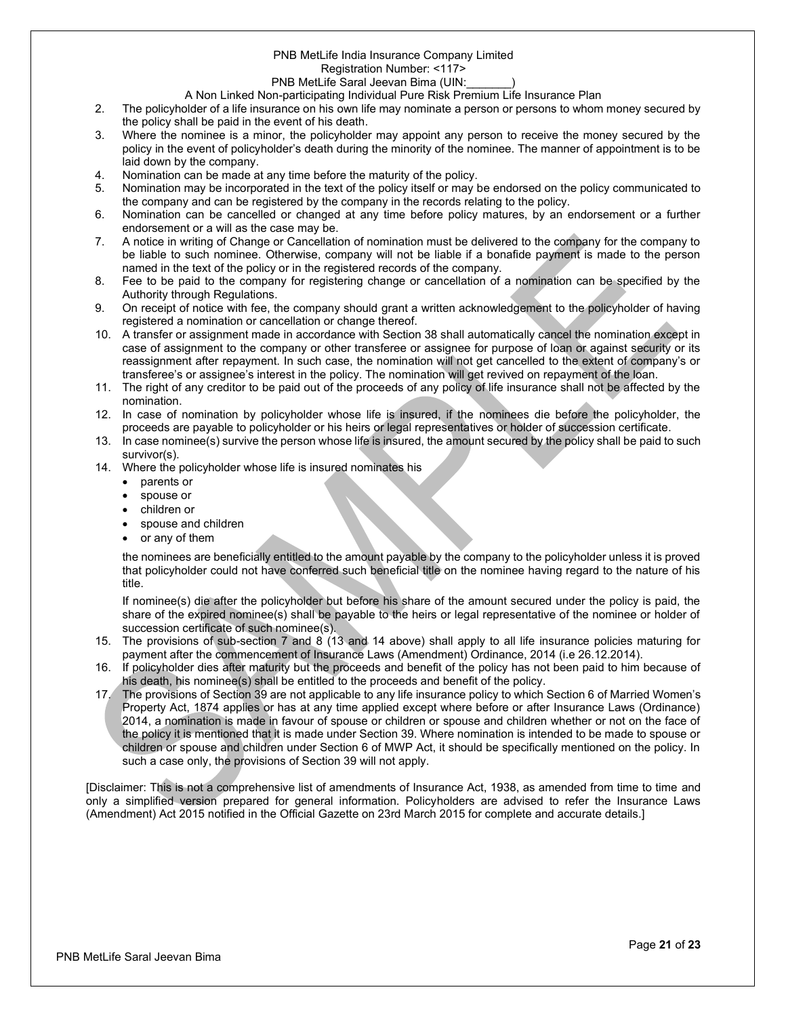## PNB MetLife India Insurance Company Limited

Registration Number: <117>

#### PNB MetLife Saral Jeevan Bima (UIN:

A Non Linked Non-participating Individual Pure Risk Premium Life Insurance Plan

- 2. The policyholder of a life insurance on his own life may nominate a person or persons to whom money secured by the policy shall be paid in the event of his death.
- 3. Where the nominee is a minor, the policyholder may appoint any person to receive the money secured by the policy in the event of policyholder's death during the minority of the nominee. The manner of appointment is to be laid down by the company.
- 4. Nomination can be made at any time before the maturity of the policy.
- 5. Nomination may be incorporated in the text of the policy itself or may be endorsed on the policy communicated to the company and can be registered by the company in the records relating to the policy.
- 6. Nomination can be cancelled or changed at any time before policy matures, by an endorsement or a further endorsement or a will as the case may be.
- 7. A notice in writing of Change or Cancellation of nomination must be delivered to the company for the company to be liable to such nominee. Otherwise, company will not be liable if a bonafide payment is made to the person named in the text of the policy or in the registered records of the company.
- 8. Fee to be paid to the company for registering change or cancellation of a nomination can be specified by the Authority through Regulations.
- 9. On receipt of notice with fee, the company should grant a written acknowledgement to the policyholder of having registered a nomination or cancellation or change thereof.
- 10. A transfer or assignment made in accordance with Section 38 shall automatically cancel the nomination except in case of assignment to the company or other transferee or assignee for purpose of loan or against security or its reassignment after repayment. In such case, the nomination will not get cancelled to the extent of company's or transferee's or assignee's interest in the policy. The nomination will get revived on repayment of the loan.
- 11. The right of any creditor to be paid out of the proceeds of any policy of life insurance shall not be affected by the nomination.
- 12. In case of nomination by policyholder whose life is insured, if the nominees die before the policyholder, the proceeds are payable to policyholder or his heirs or legal representatives or holder of succession certificate.
- 13. In case nominee(s) survive the person whose life is insured, the amount secured by the policy shall be paid to such survivor(s).
- 14. Where the policyholder whose life is insured nominates his
	- parents or
		- spouse or
		- children or
		- spouse and children
		- or any of them

the nominees are beneficially entitled to the amount payable by the company to the policyholder unless it is proved that policyholder could not have conferred such beneficial title on the nominee having regard to the nature of his title.

If nominee(s) die after the policyholder but before his share of the amount secured under the policy is paid, the share of the expired nominee(s) shall be payable to the heirs or legal representative of the nominee or holder of succession certificate of such nominee(s).

- 15. The provisions of sub-section 7 and 8 (13 and 14 above) shall apply to all life insurance policies maturing for payment after the commencement of Insurance Laws (Amendment) Ordinance, 2014 (i.e 26.12.2014).
- 16. If policyholder dies after maturity but the proceeds and benefit of the policy has not been paid to him because of his death, his nominee(s) shall be entitled to the proceeds and benefit of the policy.
- 17. The provisions of Section 39 are not applicable to any life insurance policy to which Section 6 of Married Women's Property Act, 1874 applies or has at any time applied except where before or after Insurance Laws (Ordinance) 2014, a nomination is made in favour of spouse or children or spouse and children whether or not on the face of the policy it is mentioned that it is made under Section 39. Where nomination is intended to be made to spouse or children or spouse and children under Section 6 of MWP Act, it should be specifically mentioned on the policy. In such a case only, the provisions of Section 39 will not apply.

[Disclaimer: This is not a comprehensive list of amendments of Insurance Act, 1938, as amended from time to time and only a simplified version prepared for general information. Policyholders are advised to refer the Insurance Laws (Amendment) Act 2015 notified in the Official Gazette on 23rd March 2015 for complete and accurate details.]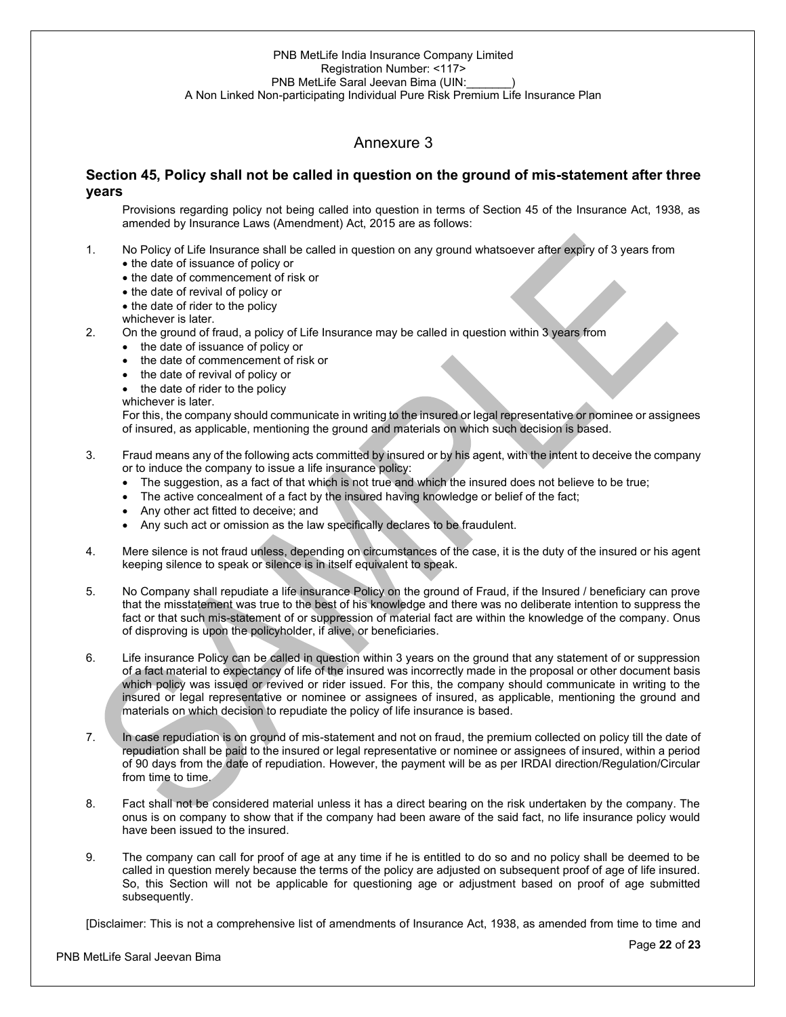## Annexure 3

## **Section 45, Policy shall not be called in question on the ground of mis-statement after three years**

Provisions regarding policy not being called into question in terms of Section 45 of the Insurance Act, 1938, as amended by Insurance Laws (Amendment) Act, 2015 are as follows:

- 1. No Policy of Life Insurance shall be called in question on any ground whatsoever after expiry of 3 years from
	- the date of issuance of policy or
	- the date of commencement of risk or
	- the date of revival of policy or
	- the date of rider to the policy
	- whichever is later.
- 2. On the ground of fraud, a policy of Life Insurance may be called in question within 3 years from
	- the date of issuance of policy or
	- the date of commencement of risk or
	- the date of revival of policy or
	- the date of rider to the policy
	- whichever is later.

For this, the company should communicate in writing to the insured or legal representative or nominee or assignees of insured, as applicable, mentioning the ground and materials on which such decision is based.

#### 3. Fraud means any of the following acts committed by insured or by his agent, with the intent to deceive the company or to induce the company to issue a life insurance policy:

- The suggestion, as a fact of that which is not true and which the insured does not believe to be true;
- The active concealment of a fact by the insured having knowledge or belief of the fact;
- Any other act fitted to deceive; and
- Any such act or omission as the law specifically declares to be fraudulent.
- 4. Mere silence is not fraud unless, depending on circumstances of the case, it is the duty of the insured or his agent keeping silence to speak or silence is in itself equivalent to speak.
- 5. No Company shall repudiate a life insurance Policy on the ground of Fraud, if the Insured / beneficiary can prove that the misstatement was true to the best of his knowledge and there was no deliberate intention to suppress the fact or that such mis-statement of or suppression of material fact are within the knowledge of the company. Onus of disproving is upon the policyholder, if alive, or beneficiaries.
- 6. Life insurance Policy can be called in question within 3 years on the ground that any statement of or suppression of a fact material to expectancy of life of the insured was incorrectly made in the proposal or other document basis which policy was issued or revived or rider issued. For this, the company should communicate in writing to the insured or legal representative or nominee or assignees of insured, as applicable, mentioning the ground and materials on which decision to repudiate the policy of life insurance is based.
- 7. In case repudiation is on ground of mis-statement and not on fraud, the premium collected on policy till the date of repudiation shall be paid to the insured or legal representative or nominee or assignees of insured, within a period of 90 days from the date of repudiation. However, the payment will be as per IRDAI direction/Regulation/Circular from time to time.
- 8. Fact shall not be considered material unless it has a direct bearing on the risk undertaken by the company. The onus is on company to show that if the company had been aware of the said fact, no life insurance policy would have been issued to the insured.
- 9. The company can call for proof of age at any time if he is entitled to do so and no policy shall be deemed to be called in question merely because the terms of the policy are adjusted on subsequent proof of age of life insured. So, this Section will not be applicable for questioning age or adjustment based on proof of age submitted subsequently.

[Disclaimer: This is not a comprehensive list of amendments of Insurance Act, 1938, as amended from time to time and